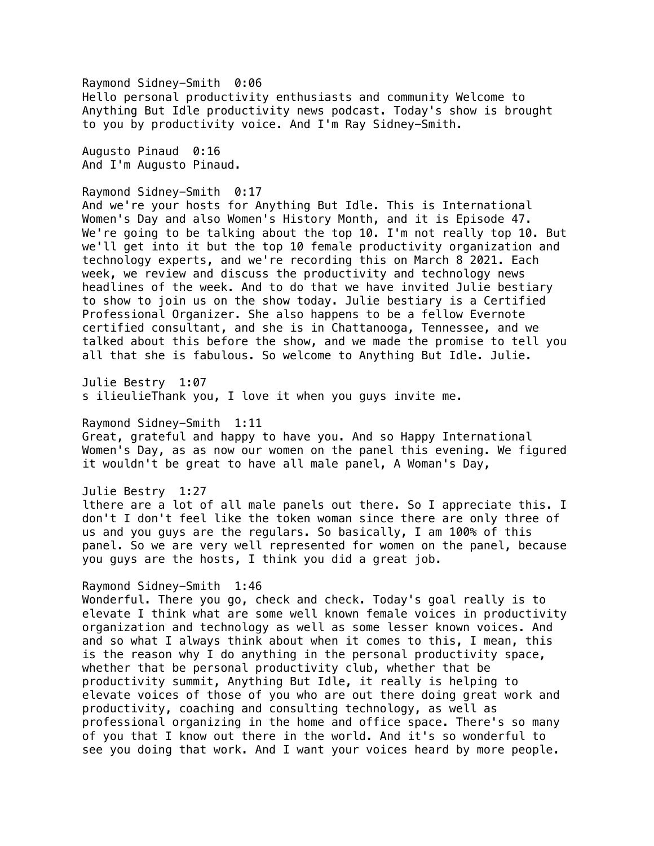Raymond Sidney-Smith 0:06 Hello personal productivity enthusiasts and community Welcome to Anything But Idle productivity news podcast. Today's show is brought to you by productivity voice. And I'm Ray Sidney-Smith.

Augusto Pinaud 0:16 And I'm Augusto Pinaud.

#### Raymond Sidney-Smith 0:17

And we're your hosts for Anything But Idle. This is International Women's Day and also Women's History Month, and it is Episode 47. We're going to be talking about the top 10. I'm not really top 10. But we'll get into it but the top 10 female productivity organization and technology experts, and we're recording this on March 8 2021. Each week, we review and discuss the productivity and technology news headlines of the week. And to do that we have invited Julie bestiary to show to join us on the show today. Julie bestiary is a Certified Professional Organizer. She also happens to be a fellow Evernote certified consultant, and she is in Chattanooga, Tennessee, and we talked about this before the show, and we made the promise to tell you all that she is fabulous. So welcome to Anything But Idle. Julie.

Julie Bestry 1:07 s ilieulieThank you, I love it when you guys invite me.

Raymond Sidney-Smith 1:11

Great, grateful and happy to have you. And so Happy International Women's Day, as as now our women on the panel this evening. We figured it wouldn't be great to have all male panel, A Woman's Day,

Julie Bestry 1:27

lthere are a lot of all male panels out there. So I appreciate this. I don't I don't feel like the token woman since there are only three of us and you guys are the regulars. So basically, I am 100% of this panel. So we are very well represented for women on the panel, because you guys are the hosts, I think you did a great job.

#### Raymond Sidney-Smith 1:46

Wonderful. There you go, check and check. Today's goal really is to elevate I think what are some well known female voices in productivity organization and technology as well as some lesser known voices. And and so what I always think about when it comes to this, I mean, this is the reason why I do anything in the personal productivity space, whether that be personal productivity club, whether that be productivity summit, Anything But Idle, it really is helping to elevate voices of those of you who are out there doing great work and productivity, coaching and consulting technology, as well as professional organizing in the home and office space. There's so many of you that I know out there in the world. And it's so wonderful to see you doing that work. And I want your voices heard by more people.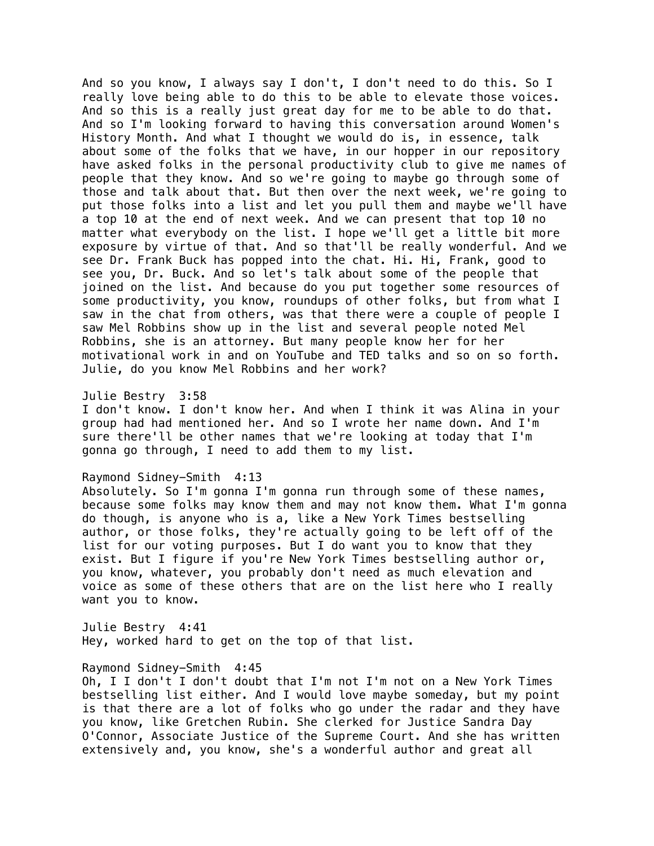And so you know, I always say I don't, I don't need to do this. So I really love being able to do this to be able to elevate those voices. And so this is a really just great day for me to be able to do that. And so I'm looking forward to having this conversation around Women's History Month. And what I thought we would do is, in essence, talk about some of the folks that we have, in our hopper in our repository have asked folks in the personal productivity club to give me names of people that they know. And so we're going to maybe go through some of those and talk about that. But then over the next week, we're going to put those folks into a list and let you pull them and maybe we'll have a top 10 at the end of next week. And we can present that top 10 no matter what everybody on the list. I hope we'll get a little bit more exposure by virtue of that. And so that'll be really wonderful. And we see Dr. Frank Buck has popped into the chat. Hi. Hi, Frank, good to see you, Dr. Buck. And so let's talk about some of the people that joined on the list. And because do you put together some resources of some productivity, you know, roundups of other folks, but from what I saw in the chat from others, was that there were a couple of people I saw Mel Robbins show up in the list and several people noted Mel Robbins, she is an attorney. But many people know her for her motivational work in and on YouTube and TED talks and so on so forth. Julie, do you know Mel Robbins and her work?

#### Julie Bestry 3:58

I don't know. I don't know her. And when I think it was Alina in your group had had mentioned her. And so I wrote her name down. And I'm sure there'll be other names that we're looking at today that I'm gonna go through, I need to add them to my list.

# Raymond Sidney-Smith 4:13

Absolutely. So I'm gonna I'm gonna run through some of these names, because some folks may know them and may not know them. What I'm gonna do though, is anyone who is a, like a New York Times bestselling author, or those folks, they're actually going to be left off of the list for our voting purposes. But I do want you to know that they exist. But I figure if you're New York Times bestselling author or, you know, whatever, you probably don't need as much elevation and voice as some of these others that are on the list here who I really want you to know.

Julie Bestry 4:41 Hey, worked hard to get on the top of that list.

#### Raymond Sidney-Smith 4:45

Oh, I I don't I don't doubt that I'm not I'm not on a New York Times bestselling list either. And I would love maybe someday, but my point is that there are a lot of folks who go under the radar and they have you know, like Gretchen Rubin. She clerked for Justice Sandra Day O'Connor, Associate Justice of the Supreme Court. And she has written extensively and, you know, she's a wonderful author and great all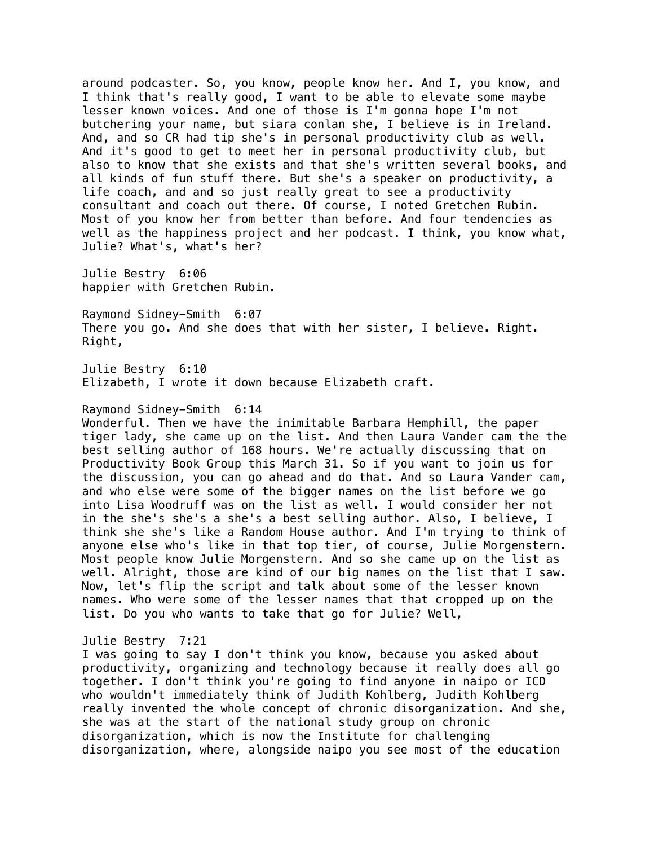around podcaster. So, you know, people know her. And I, you know, and I think that's really good, I want to be able to elevate some maybe lesser known voices. And one of those is I'm gonna hope I'm not butchering your name, but siara conlan she, I believe is in Ireland. And, and so CR had tip she's in personal productivity club as well. And it's good to get to meet her in personal productivity club, but also to know that she exists and that she's written several books, and all kinds of fun stuff there. But she's a speaker on productivity, a life coach, and and so just really great to see a productivity consultant and coach out there. Of course, I noted Gretchen Rubin. Most of you know her from better than before. And four tendencies as well as the happiness project and her podcast. I think, you know what, Julie? What's, what's her?

Julie Bestry 6:06 happier with Gretchen Rubin.

Raymond Sidney-Smith 6:07 There you go. And she does that with her sister, I believe. Right. Right,

Julie Bestry 6:10 Elizabeth, I wrote it down because Elizabeth craft.

Raymond Sidney-Smith 6:14

Wonderful. Then we have the inimitable Barbara Hemphill, the paper tiger lady, she came up on the list. And then Laura Vander cam the the best selling author of 168 hours. We're actually discussing that on Productivity Book Group this March 31. So if you want to join us for the discussion, you can go ahead and do that. And so Laura Vander cam, and who else were some of the bigger names on the list before we go into Lisa Woodruff was on the list as well. I would consider her not in the she's she's a she's a best selling author. Also, I believe, I think she she's like a Random House author. And I'm trying to think of anyone else who's like in that top tier, of course, Julie Morgenstern. Most people know Julie Morgenstern. And so she came up on the list as well. Alright, those are kind of our big names on the list that I saw. Now, let's flip the script and talk about some of the lesser known names. Who were some of the lesser names that that cropped up on the list. Do you who wants to take that go for Julie? Well,

## Julie Bestry 7:21

I was going to say I don't think you know, because you asked about productivity, organizing and technology because it really does all go together. I don't think you're going to find anyone in naipo or ICD who wouldn't immediately think of Judith Kohlberg, Judith Kohlberg really invented the whole concept of chronic disorganization. And she, she was at the start of the national study group on chronic disorganization, which is now the Institute for challenging disorganization, where, alongside naipo you see most of the education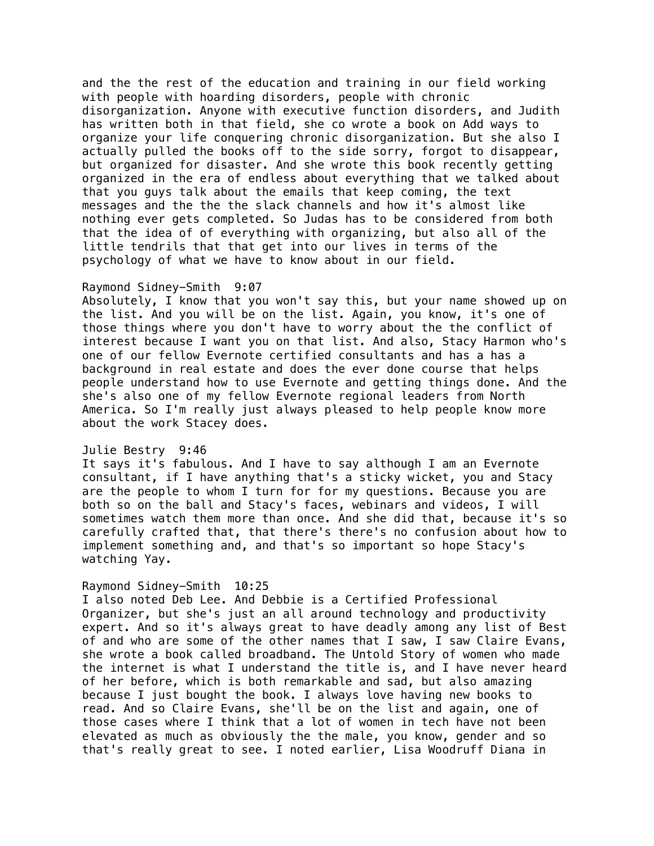and the the rest of the education and training in our field working with people with hoarding disorders, people with chronic disorganization. Anyone with executive function disorders, and Judith has written both in that field, she co wrote a book on Add ways to organize your life conquering chronic disorganization. But she also I actually pulled the books off to the side sorry, forgot to disappear, but organized for disaster. And she wrote this book recently getting organized in the era of endless about everything that we talked about that you guys talk about the emails that keep coming, the text messages and the the the slack channels and how it's almost like nothing ever gets completed. So Judas has to be considered from both that the idea of of everything with organizing, but also all of the little tendrils that that get into our lives in terms of the psychology of what we have to know about in our field.

# Raymond Sidney-Smith 9:07

Absolutely, I know that you won't say this, but your name showed up on the list. And you will be on the list. Again, you know, it's one of those things where you don't have to worry about the the conflict of interest because I want you on that list. And also, Stacy Harmon who's one of our fellow Evernote certified consultants and has a has a background in real estate and does the ever done course that helps people understand how to use Evernote and getting things done. And the she's also one of my fellow Evernote regional leaders from North America. So I'm really just always pleased to help people know more about the work Stacey does.

#### Julie Bestry 9:46

It says it's fabulous. And I have to say although I am an Evernote consultant, if I have anything that's a sticky wicket, you and Stacy are the people to whom I turn for for my questions. Because you are both so on the ball and Stacy's faces, webinars and videos, I will sometimes watch them more than once. And she did that, because it's so carefully crafted that, that there's there's no confusion about how to implement something and, and that's so important so hope Stacy's watching Yay.

## Raymond Sidney-Smith 10:25

I also noted Deb Lee. And Debbie is a Certified Professional Organizer, but she's just an all around technology and productivity expert. And so it's always great to have deadly among any list of Best of and who are some of the other names that I saw, I saw Claire Evans, she wrote a book called broadband. The Untold Story of women who made the internet is what I understand the title is, and I have never heard of her before, which is both remarkable and sad, but also amazing because I just bought the book. I always love having new books to read. And so Claire Evans, she'll be on the list and again, one of those cases where I think that a lot of women in tech have not been elevated as much as obviously the the male, you know, gender and so that's really great to see. I noted earlier, Lisa Woodruff Diana in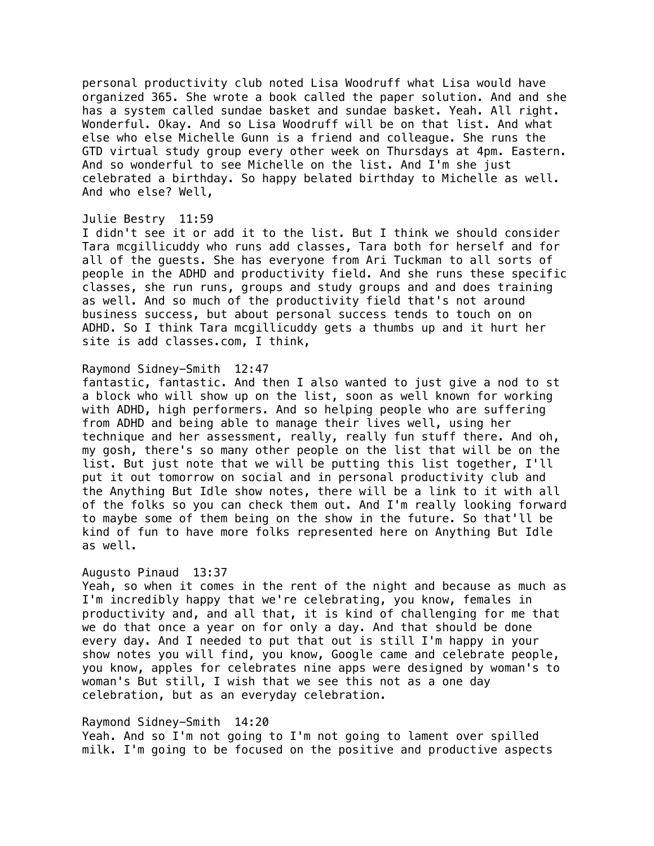personal productivity club noted Lisa Woodruff what Lisa would have organized 365. She wrote a book called the paper solution. And and she has a system called sundae basket and sundae basket. Yeah. All right. Wonderful. Okay. And so Lisa Woodruff will be on that list. And what else who else Michelle Gunn is a friend and colleague. She runs the GTD virtual study group every other week on Thursdays at 4pm. Eastern. And so wonderful to see Michelle on the list. And I'm she just celebrated a birthday. So happy belated birthday to Michelle as well. And who else? Well,

#### Julie Bestry 11:59

I didn't see it or add it to the list. But I think we should consider Tara mcgillicuddy who runs add classes, Tara both for herself and for all of the guests. She has everyone from Ari Tuckman to all sorts of people in the ADHD and productivity field. And she runs these specific classes, she run runs, groups and study groups and and does training as well. And so much of the productivity field that's not around business success, but about personal success tends to touch on on ADHD. So I think Tara mcgillicuddy gets a thumbs up and it hurt her site is add classes.com, I think,

#### Raymond Sidney-Smith 12:47

fantastic, fantastic. And then I also wanted to just give a nod to st a block who will show up on the list, soon as well known for working with ADHD, high performers. And so helping people who are suffering from ADHD and being able to manage their lives well, using her technique and her assessment, really, really fun stuff there. And oh, my gosh, there's so many other people on the list that will be on the list. But just note that we will be putting this list together, I'll put it out tomorrow on social and in personal productivity club and the Anything But Idle show notes, there will be a link to it with all of the folks so you can check them out. And I'm really looking forward to maybe some of them being on the show in the future. So that'll be kind of fun to have more folks represented here on Anything But Idle as well.

#### Augusto Pinaud 13:37

Yeah, so when it comes in the rent of the night and because as much as I'm incredibly happy that we're celebrating, you know, females in productivity and, and all that, it is kind of challenging for me that we do that once a year on for only a day. And that should be done every day. And I needed to put that out is still I'm happy in your show notes you will find, you know, Google came and celebrate people, you know, apples for celebrates nine apps were designed by woman's to woman's But still, I wish that we see this not as a one day celebration, but as an everyday celebration.

## Raymond Sidney-Smith 14:20

Yeah. And so I'm not going to I'm not going to lament over spilled milk. I'm going to be focused on the positive and productive aspects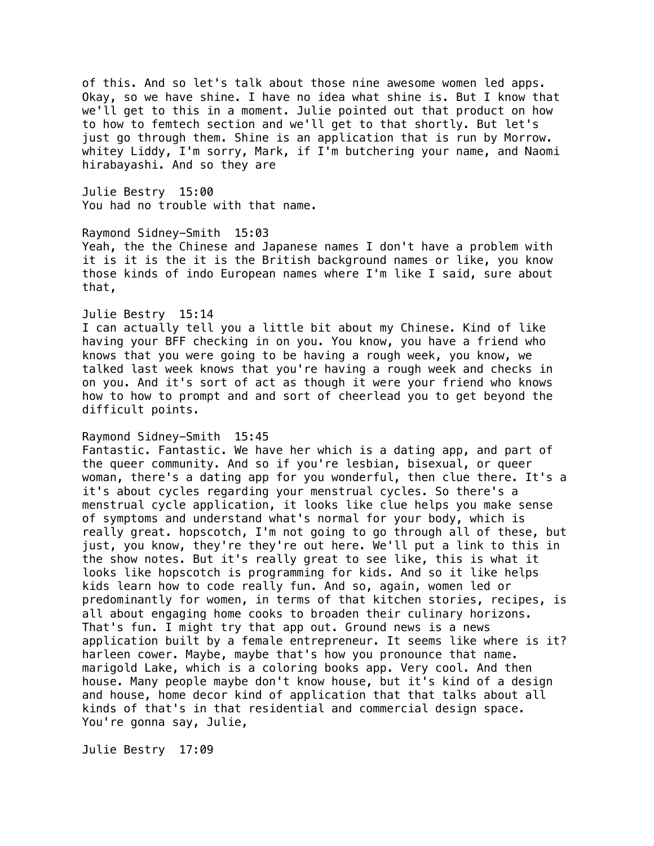of this. And so let's talk about those nine awesome women led apps. Okay, so we have shine. I have no idea what shine is. But I know that we'll get to this in a moment. Julie pointed out that product on how to how to femtech section and we'll get to that shortly. But let's just go through them. Shine is an application that is run by Morrow. whitey Liddy, I'm sorry, Mark, if I'm butchering your name, and Naomi hirabayashi. And so they are

Julie Bestry 15:00 You had no trouble with that name.

#### Raymond Sidney-Smith 15:03

Yeah, the the Chinese and Japanese names I don't have a problem with it is it is the it is the British background names or like, you know those kinds of indo European names where I'm like I said, sure about that,

# Julie Bestry 15:14

I can actually tell you a little bit about my Chinese. Kind of like having your BFF checking in on you. You know, you have a friend who knows that you were going to be having a rough week, you know, we talked last week knows that you're having a rough week and checks in on you. And it's sort of act as though it were your friend who knows how to how to prompt and and sort of cheerlead you to get beyond the difficult points.

#### Raymond Sidney-Smith 15:45

Fantastic. Fantastic. We have her which is a dating app, and part of the queer community. And so if you're lesbian, bisexual, or queer woman, there's a dating app for you wonderful, then clue there. It's a it's about cycles regarding your menstrual cycles. So there's a menstrual cycle application, it looks like clue helps you make sense of symptoms and understand what's normal for your body, which is really great. hopscotch, I'm not going to go through all of these, but just, you know, they're they're out here. We'll put a link to this in the show notes. But it's really great to see like, this is what it looks like hopscotch is programming for kids. And so it like helps kids learn how to code really fun. And so, again, women led or predominantly for women, in terms of that kitchen stories, recipes, is all about engaging home cooks to broaden their culinary horizons. That's fun. I might try that app out. Ground news is a news application built by a female entrepreneur. It seems like where is it? harleen cower. Maybe, maybe that's how you pronounce that name. marigold Lake, which is a coloring books app. Very cool. And then house. Many people maybe don't know house, but it's kind of a design and house, home decor kind of application that that talks about all kinds of that's in that residential and commercial design space. You're gonna say, Julie,

Julie Bestry 17:09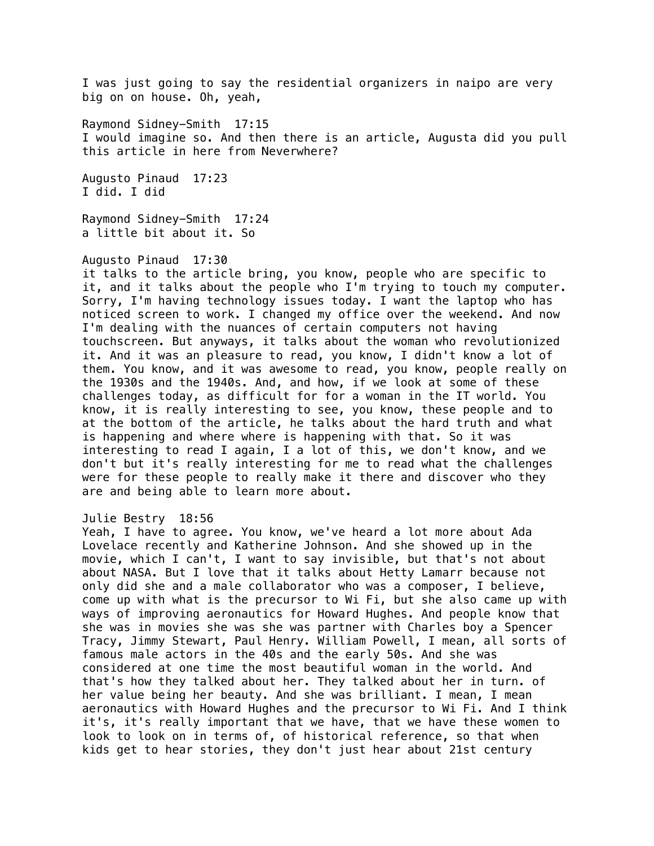I was just going to say the residential organizers in naipo are very big on on house. Oh, yeah,

Raymond Sidney-Smith 17:15 I would imagine so. And then there is an article, Augusta did you pull this article in here from Neverwhere?

Augusto Pinaud 17:23 I did. I did

Raymond Sidney-Smith 17:24 a little bit about it. So

## Augusto Pinaud 17:30

it talks to the article bring, you know, people who are specific to it, and it talks about the people who I'm trying to touch my computer. Sorry, I'm having technology issues today. I want the laptop who has noticed screen to work. I changed my office over the weekend. And now I'm dealing with the nuances of certain computers not having touchscreen. But anyways, it talks about the woman who revolutionized it. And it was an pleasure to read, you know, I didn't know a lot of them. You know, and it was awesome to read, you know, people really on the 1930s and the 1940s. And, and how, if we look at some of these challenges today, as difficult for for a woman in the IT world. You know, it is really interesting to see, you know, these people and to at the bottom of the article, he talks about the hard truth and what is happening and where where is happening with that. So it was interesting to read I again, I a lot of this, we don't know, and we don't but it's really interesting for me to read what the challenges were for these people to really make it there and discover who they are and being able to learn more about.

## Julie Bestry 18:56

Yeah, I have to agree. You know, we've heard a lot more about Ada Lovelace recently and Katherine Johnson. And she showed up in the movie, which I can't, I want to say invisible, but that's not about about NASA. But I love that it talks about Hetty Lamarr because not only did she and a male collaborator who was a composer, I believe, come up with what is the precursor to Wi Fi, but she also came up with ways of improving aeronautics for Howard Hughes. And people know that she was in movies she was she was partner with Charles boy a Spencer Tracy, Jimmy Stewart, Paul Henry. William Powell, I mean, all sorts of famous male actors in the 40s and the early 50s. And she was considered at one time the most beautiful woman in the world. And that's how they talked about her. They talked about her in turn. of her value being her beauty. And she was brilliant. I mean, I mean aeronautics with Howard Hughes and the precursor to Wi Fi. And I think it's, it's really important that we have, that we have these women to look to look on in terms of, of historical reference, so that when kids get to hear stories, they don't just hear about 21st century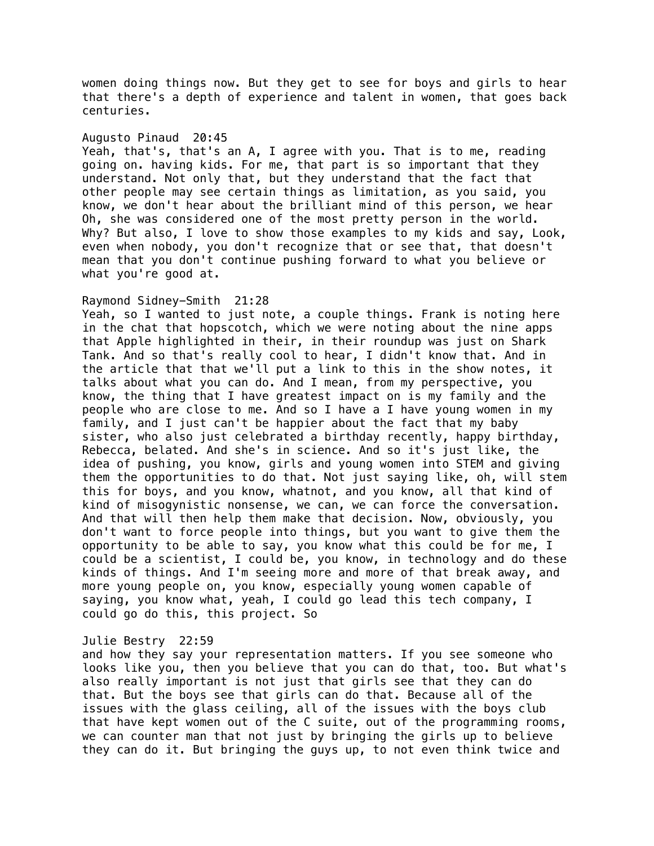women doing things now. But they get to see for boys and girls to hear that there's a depth of experience and talent in women, that goes back centuries.

#### Augusto Pinaud 20:45

Yeah, that's, that's an A, I agree with you. That is to me, reading going on. having kids. For me, that part is so important that they understand. Not only that, but they understand that the fact that other people may see certain things as limitation, as you said, you know, we don't hear about the brilliant mind of this person, we hear Oh, she was considered one of the most pretty person in the world. Why? But also, I love to show those examples to my kids and say, Look, even when nobody, you don't recognize that or see that, that doesn't mean that you don't continue pushing forward to what you believe or what you're good at.

## Raymond Sidney-Smith 21:28

Yeah, so I wanted to just note, a couple things. Frank is noting here in the chat that hopscotch, which we were noting about the nine apps that Apple highlighted in their, in their roundup was just on Shark Tank. And so that's really cool to hear, I didn't know that. And in the article that that we'll put a link to this in the show notes, it talks about what you can do. And I mean, from my perspective, you know, the thing that I have greatest impact on is my family and the people who are close to me. And so I have a I have young women in my family, and I just can't be happier about the fact that my baby sister, who also just celebrated a birthday recently, happy birthday, Rebecca, belated. And she's in science. And so it's just like, the idea of pushing, you know, girls and young women into STEM and giving them the opportunities to do that. Not just saying like, oh, will stem this for boys, and you know, whatnot, and you know, all that kind of kind of misogynistic nonsense, we can, we can force the conversation. And that will then help them make that decision. Now, obviously, you don't want to force people into things, but you want to give them the opportunity to be able to say, you know what this could be for me, I could be a scientist, I could be, you know, in technology and do these kinds of things. And I'm seeing more and more of that break away, and more young people on, you know, especially young women capable of saying, you know what, yeah, I could go lead this tech company, I could go do this, this project. So

## Julie Bestry 22:59

and how they say your representation matters. If you see someone who looks like you, then you believe that you can do that, too. But what's also really important is not just that girls see that they can do that. But the boys see that girls can do that. Because all of the issues with the glass ceiling, all of the issues with the boys club that have kept women out of the C suite, out of the programming rooms, we can counter man that not just by bringing the girls up to believe they can do it. But bringing the guys up, to not even think twice and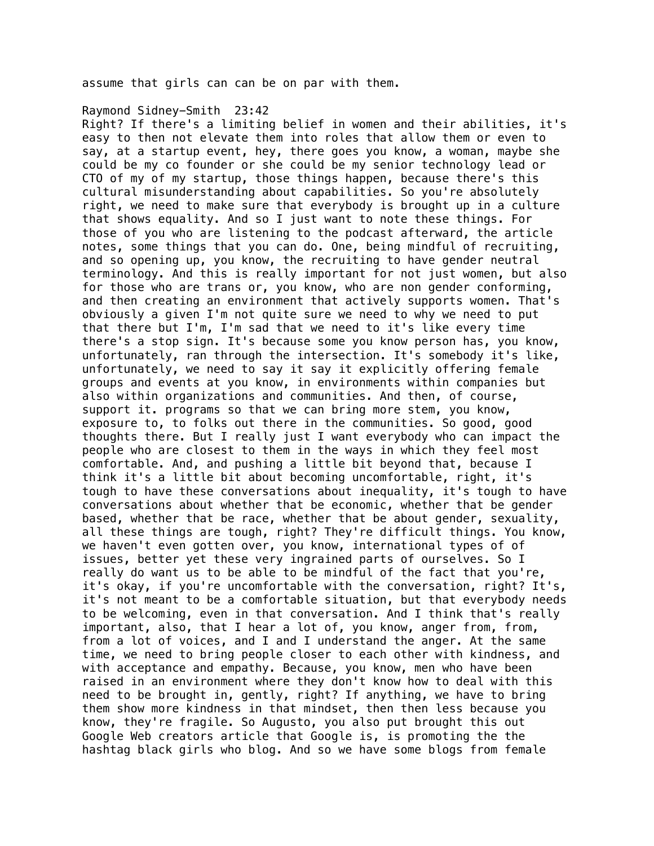assume that girls can can be on par with them.

## Raymond Sidney-Smith 23:42

Right? If there's a limiting belief in women and their abilities, it's easy to then not elevate them into roles that allow them or even to say, at a startup event, hey, there goes you know, a woman, maybe she could be my co founder or she could be my senior technology lead or CTO of my of my startup, those things happen, because there's this cultural misunderstanding about capabilities. So you're absolutely right, we need to make sure that everybody is brought up in a culture that shows equality. And so I just want to note these things. For those of you who are listening to the podcast afterward, the article notes, some things that you can do. One, being mindful of recruiting, and so opening up, you know, the recruiting to have gender neutral terminology. And this is really important for not just women, but also for those who are trans or, you know, who are non gender conforming, and then creating an environment that actively supports women. That's obviously a given I'm not quite sure we need to why we need to put that there but I'm, I'm sad that we need to it's like every time there's a stop sign. It's because some you know person has, you know, unfortunately, ran through the intersection. It's somebody it's like, unfortunately, we need to say it say it explicitly offering female groups and events at you know, in environments within companies but also within organizations and communities. And then, of course, support it. programs so that we can bring more stem, you know, exposure to, to folks out there in the communities. So good, good thoughts there. But I really just I want everybody who can impact the people who are closest to them in the ways in which they feel most comfortable. And, and pushing a little bit beyond that, because I think it's a little bit about becoming uncomfortable, right, it's tough to have these conversations about inequality, it's tough to have conversations about whether that be economic, whether that be gender based, whether that be race, whether that be about gender, sexuality, all these things are tough, right? They're difficult things. You know, we haven't even gotten over, you know, international types of of issues, better yet these very ingrained parts of ourselves. So I really do want us to be able to be mindful of the fact that you're, it's okay, if you're uncomfortable with the conversation, right? It's, it's not meant to be a comfortable situation, but that everybody needs to be welcoming, even in that conversation. And I think that's really important, also, that I hear a lot of, you know, anger from, from, from a lot of voices, and I and I understand the anger. At the same time, we need to bring people closer to each other with kindness, and with acceptance and empathy. Because, you know, men who have been raised in an environment where they don't know how to deal with this need to be brought in, gently, right? If anything, we have to bring them show more kindness in that mindset, then then less because you know, they're fragile. So Augusto, you also put brought this out Google Web creators article that Google is, is promoting the the hashtag black girls who blog. And so we have some blogs from female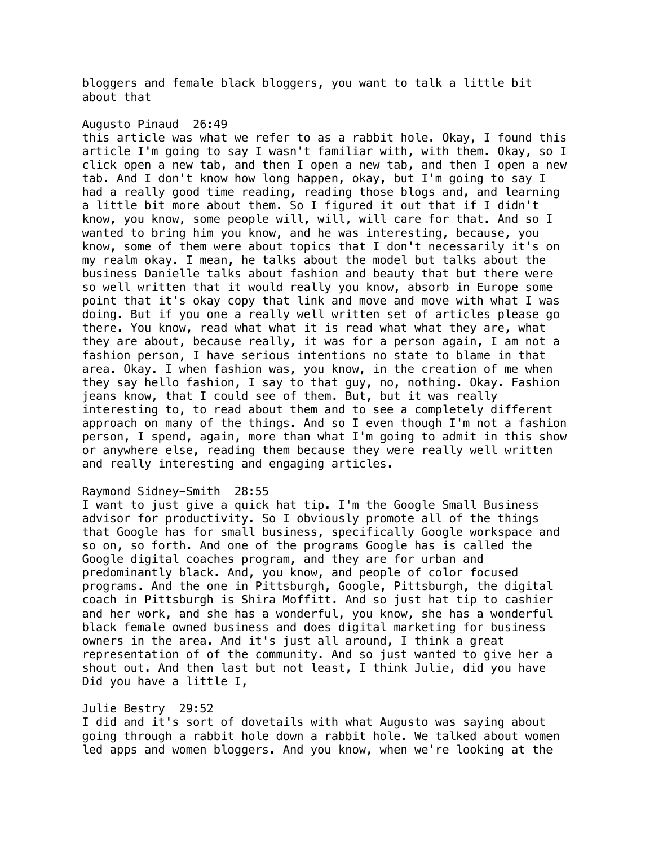bloggers and female black bloggers, you want to talk a little bit about that

## Augusto Pinaud 26:49

this article was what we refer to as a rabbit hole. Okay, I found this article I'm going to say I wasn't familiar with, with them. Okay, so I click open a new tab, and then I open a new tab, and then I open a new tab. And I don't know how long happen, okay, but I'm going to say I had a really good time reading, reading those blogs and, and learning a little bit more about them. So I figured it out that if I didn't know, you know, some people will, will, will care for that. And so I wanted to bring him you know, and he was interesting, because, you know, some of them were about topics that I don't necessarily it's on my realm okay. I mean, he talks about the model but talks about the business Danielle talks about fashion and beauty that but there were so well written that it would really you know, absorb in Europe some point that it's okay copy that link and move and move with what I was doing. But if you one a really well written set of articles please go there. You know, read what what it is read what what they are, what they are about, because really, it was for a person again, I am not a fashion person, I have serious intentions no state to blame in that area. Okay. I when fashion was, you know, in the creation of me when they say hello fashion, I say to that guy, no, nothing. Okay. Fashion jeans know, that I could see of them. But, but it was really interesting to, to read about them and to see a completely different approach on many of the things. And so I even though I'm not a fashion person, I spend, again, more than what I'm going to admit in this show or anywhere else, reading them because they were really well written and really interesting and engaging articles.

#### Raymond Sidney-Smith 28:55

I want to just give a quick hat tip. I'm the Google Small Business advisor for productivity. So I obviously promote all of the things that Google has for small business, specifically Google workspace and so on, so forth. And one of the programs Google has is called the Google digital coaches program, and they are for urban and predominantly black. And, you know, and people of color focused programs. And the one in Pittsburgh, Google, Pittsburgh, the digital coach in Pittsburgh is Shira Moffitt. And so just hat tip to cashier and her work, and she has a wonderful, you know, she has a wonderful black female owned business and does digital marketing for business owners in the area. And it's just all around, I think a great representation of of the community. And so just wanted to give her a shout out. And then last but not least, I think Julie, did you have Did you have a little I,

#### Julie Bestry 29:52

I did and it's sort of dovetails with what Augusto was saying about going through a rabbit hole down a rabbit hole. We talked about women led apps and women bloggers. And you know, when we're looking at the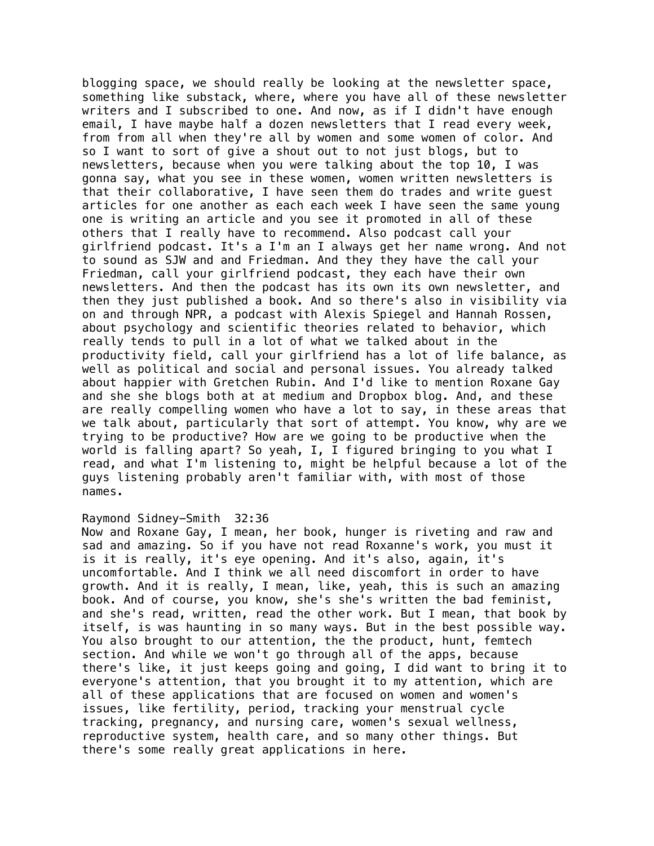blogging space, we should really be looking at the newsletter space, something like substack, where, where you have all of these newsletter writers and I subscribed to one. And now, as if I didn't have enough email, I have maybe half a dozen newsletters that I read every week, from from all when they're all by women and some women of color. And so I want to sort of give a shout out to not just blogs, but to newsletters, because when you were talking about the top 10, I was gonna say, what you see in these women, women written newsletters is that their collaborative, I have seen them do trades and write guest articles for one another as each each week I have seen the same young one is writing an article and you see it promoted in all of these others that I really have to recommend. Also podcast call your girlfriend podcast. It's a I'm an I always get her name wrong. And not to sound as SJW and and Friedman. And they they have the call your Friedman, call your girlfriend podcast, they each have their own newsletters. And then the podcast has its own its own newsletter, and then they just published a book. And so there's also in visibility via on and through NPR, a podcast with Alexis Spiegel and Hannah Rossen, about psychology and scientific theories related to behavior, which really tends to pull in a lot of what we talked about in the productivity field, call your girlfriend has a lot of life balance, as well as political and social and personal issues. You already talked about happier with Gretchen Rubin. And I'd like to mention Roxane Gay and she she blogs both at at medium and Dropbox blog. And, and these are really compelling women who have a lot to say, in these areas that we talk about, particularly that sort of attempt. You know, why are we trying to be productive? How are we going to be productive when the world is falling apart? So yeah, I, I figured bringing to you what I read, and what I'm listening to, might be helpful because a lot of the guys listening probably aren't familiar with, with most of those names.

## Raymond Sidney-Smith 32:36

Now and Roxane Gay, I mean, her book, hunger is riveting and raw and sad and amazing. So if you have not read Roxanne's work, you must it is it is really, it's eye opening. And it's also, again, it's uncomfortable. And I think we all need discomfort in order to have growth. And it is really, I mean, like, yeah, this is such an amazing book. And of course, you know, she's she's written the bad feminist, and she's read, written, read the other work. But I mean, that book by itself, is was haunting in so many ways. But in the best possible way. You also brought to our attention, the the product, hunt, femtech section. And while we won't go through all of the apps, because there's like, it just keeps going and going, I did want to bring it to everyone's attention, that you brought it to my attention, which are all of these applications that are focused on women and women's issues, like fertility, period, tracking your menstrual cycle tracking, pregnancy, and nursing care, women's sexual wellness, reproductive system, health care, and so many other things. But there's some really great applications in here.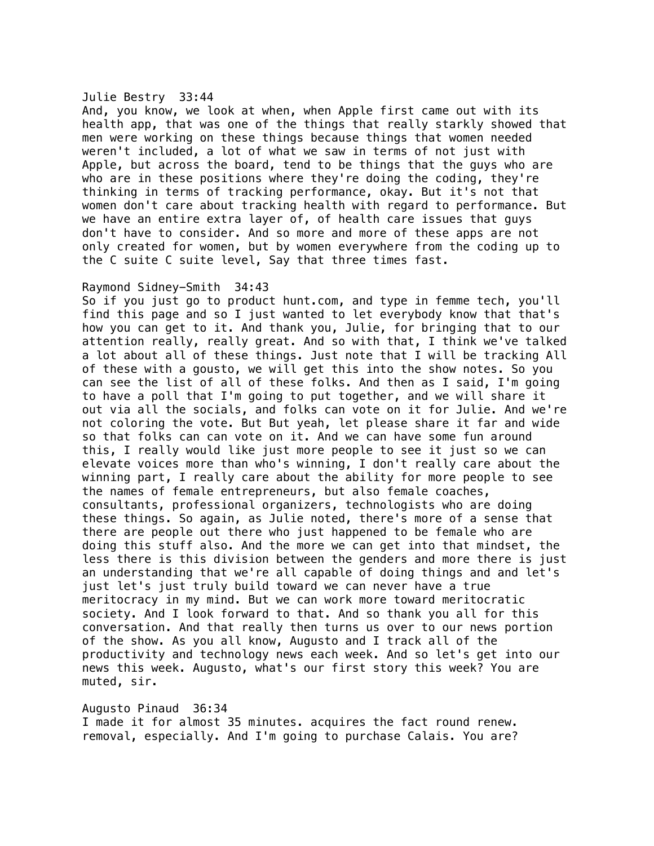#### Julie Bestry 33:44

And, you know, we look at when, when Apple first came out with its health app, that was one of the things that really starkly showed that men were working on these things because things that women needed weren't included, a lot of what we saw in terms of not just with Apple, but across the board, tend to be things that the guys who are who are in these positions where they're doing the coding, they're thinking in terms of tracking performance, okay. But it's not that women don't care about tracking health with regard to performance. But we have an entire extra layer of, of health care issues that guys don't have to consider. And so more and more of these apps are not only created for women, but by women everywhere from the coding up to the C suite C suite level, Say that three times fast.

## Raymond Sidney-Smith 34:43

So if you just go to product hunt.com, and type in femme tech, you'll find this page and so I just wanted to let everybody know that that's how you can get to it. And thank you, Julie, for bringing that to our attention really, really great. And so with that, I think we've talked a lot about all of these things. Just note that I will be tracking All of these with a gousto, we will get this into the show notes. So you can see the list of all of these folks. And then as I said, I'm going to have a poll that I'm going to put together, and we will share it out via all the socials, and folks can vote on it for Julie. And we're not coloring the vote. But But yeah, let please share it far and wide so that folks can can vote on it. And we can have some fun around this, I really would like just more people to see it just so we can elevate voices more than who's winning, I don't really care about the winning part, I really care about the ability for more people to see the names of female entrepreneurs, but also female coaches, consultants, professional organizers, technologists who are doing these things. So again, as Julie noted, there's more of a sense that there are people out there who just happened to be female who are doing this stuff also. And the more we can get into that mindset, the less there is this division between the genders and more there is just an understanding that we're all capable of doing things and and let's just let's just truly build toward we can never have a true meritocracy in my mind. But we can work more toward meritocratic society. And I look forward to that. And so thank you all for this conversation. And that really then turns us over to our news portion of the show. As you all know, Augusto and I track all of the productivity and technology news each week. And so let's get into our news this week. Augusto, what's our first story this week? You are muted, sir.

# Augusto Pinaud 36:34

I made it for almost 35 minutes. acquires the fact round renew. removal, especially. And I'm going to purchase Calais. You are?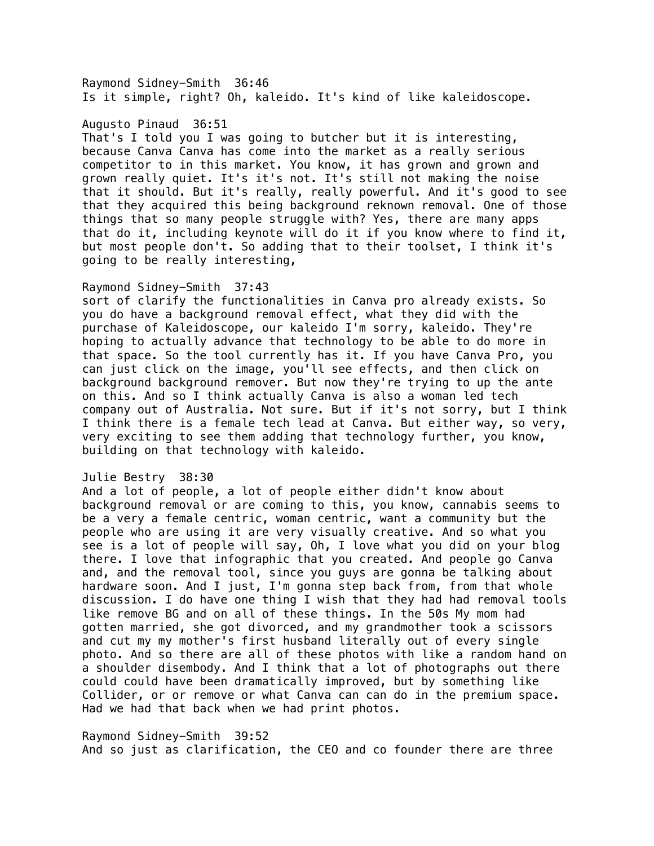Raymond Sidney-Smith 36:46 Is it simple, right? Oh, kaleido. It's kind of like kaleidoscope.

#### Augusto Pinaud 36:51

That's I told you I was going to butcher but it is interesting, because Canva Canva has come into the market as a really serious competitor to in this market. You know, it has grown and grown and grown really quiet. It's it's not. It's still not making the noise that it should. But it's really, really powerful. And it's good to see that they acquired this being background reknown removal. One of those things that so many people struggle with? Yes, there are many apps that do it, including keynote will do it if you know where to find it, but most people don't. So adding that to their toolset, I think it's going to be really interesting,

## Raymond Sidney-Smith 37:43

sort of clarify the functionalities in Canva pro already exists. So you do have a background removal effect, what they did with the purchase of Kaleidoscope, our kaleido I'm sorry, kaleido. They're hoping to actually advance that technology to be able to do more in that space. So the tool currently has it. If you have Canva Pro, you can just click on the image, you'll see effects, and then click on background background remover. But now they're trying to up the ante on this. And so I think actually Canva is also a woman led tech company out of Australia. Not sure. But if it's not sorry, but I think I think there is a female tech lead at Canva. But either way, so very, very exciting to see them adding that technology further, you know, building on that technology with kaleido.

#### Julie Bestry 38:30

And a lot of people, a lot of people either didn't know about background removal or are coming to this, you know, cannabis seems to be a very a female centric, woman centric, want a community but the people who are using it are very visually creative. And so what you see is a lot of people will say, Oh, I love what you did on your blog there. I love that infographic that you created. And people go Canva and, and the removal tool, since you guys are gonna be talking about hardware soon. And I just, I'm gonna step back from, from that whole discussion. I do have one thing I wish that they had had removal tools like remove BG and on all of these things. In the 50s My mom had gotten married, she got divorced, and my grandmother took a scissors and cut my my mother's first husband literally out of every single photo. And so there are all of these photos with like a random hand on a shoulder disembody. And I think that a lot of photographs out there could could have been dramatically improved, but by something like Collider, or or remove or what Canva can can do in the premium space. Had we had that back when we had print photos.

Raymond Sidney-Smith 39:52 And so just as clarification, the CEO and co founder there are three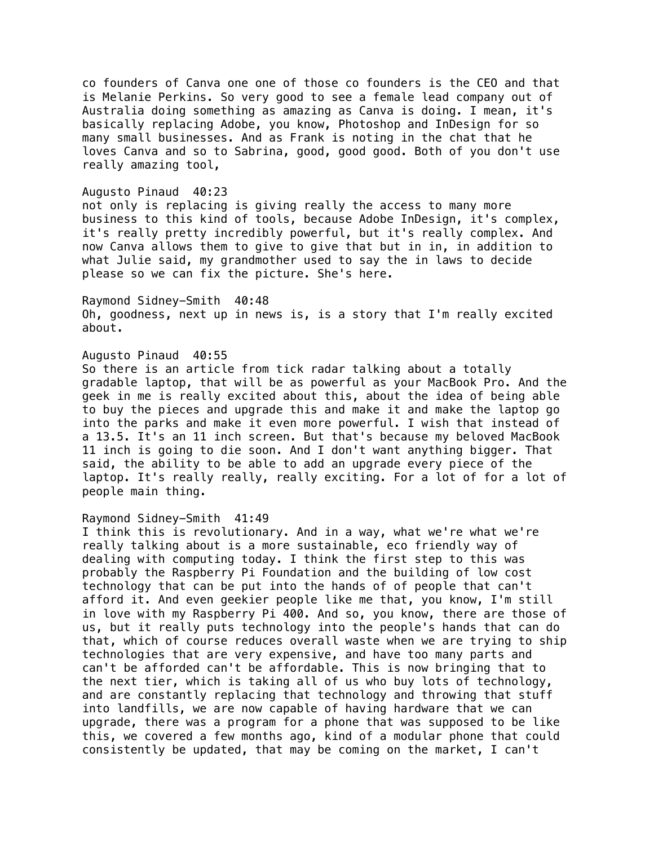co founders of Canva one one of those co founders is the CEO and that is Melanie Perkins. So very good to see a female lead company out of Australia doing something as amazing as Canva is doing. I mean, it's basically replacing Adobe, you know, Photoshop and InDesign for so many small businesses. And as Frank is noting in the chat that he loves Canva and so to Sabrina, good, good good. Both of you don't use really amazing tool,

#### Augusto Pinaud 40:23

not only is replacing is giving really the access to many more business to this kind of tools, because Adobe InDesign, it's complex, it's really pretty incredibly powerful, but it's really complex. And now Canva allows them to give to give that but in in, in addition to what Julie said, my grandmother used to say the in laws to decide please so we can fix the picture. She's here.

Raymond Sidney-Smith 40:48 Oh, goodness, next up in news is, is a story that I'm really excited about.

## Augusto Pinaud 40:55

So there is an article from tick radar talking about a totally gradable laptop, that will be as powerful as your MacBook Pro. And the geek in me is really excited about this, about the idea of being able to buy the pieces and upgrade this and make it and make the laptop go into the parks and make it even more powerful. I wish that instead of a 13.5. It's an 11 inch screen. But that's because my beloved MacBook 11 inch is going to die soon. And I don't want anything bigger. That said, the ability to be able to add an upgrade every piece of the laptop. It's really really, really exciting. For a lot of for a lot of people main thing.

#### Raymond Sidney-Smith 41:49

I think this is revolutionary. And in a way, what we're what we're really talking about is a more sustainable, eco friendly way of dealing with computing today. I think the first step to this was probably the Raspberry Pi Foundation and the building of low cost technology that can be put into the hands of of people that can't afford it. And even geekier people like me that, you know, I'm still in love with my Raspberry Pi 400. And so, you know, there are those of us, but it really puts technology into the people's hands that can do that, which of course reduces overall waste when we are trying to ship technologies that are very expensive, and have too many parts and can't be afforded can't be affordable. This is now bringing that to the next tier, which is taking all of us who buy lots of technology, and are constantly replacing that technology and throwing that stuff into landfills, we are now capable of having hardware that we can upgrade, there was a program for a phone that was supposed to be like this, we covered a few months ago, kind of a modular phone that could consistently be updated, that may be coming on the market, I can't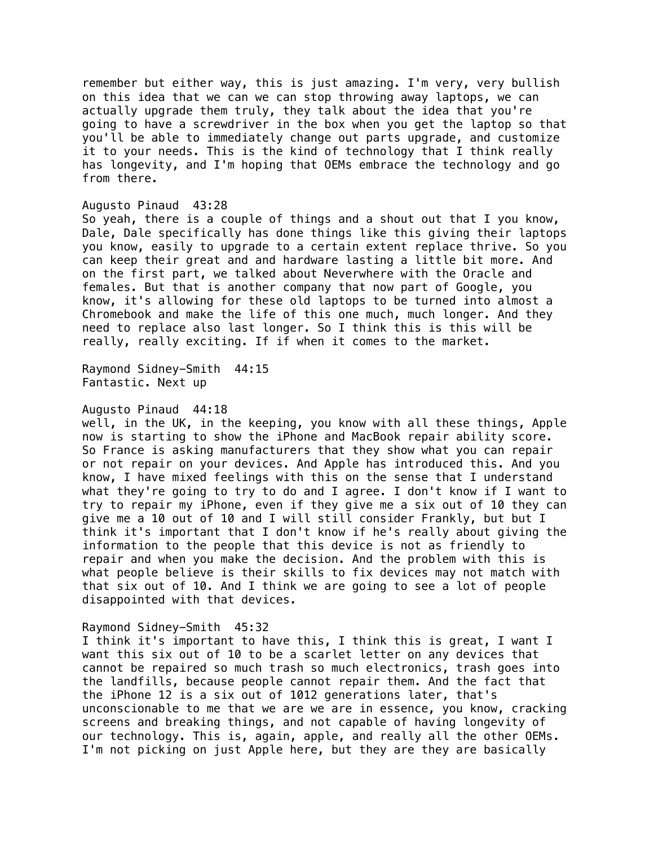remember but either way, this is just amazing. I'm very, very bullish on this idea that we can we can stop throwing away laptops, we can actually upgrade them truly, they talk about the idea that you're going to have a screwdriver in the box when you get the laptop so that you'll be able to immediately change out parts upgrade, and customize it to your needs. This is the kind of technology that I think really has longevity, and I'm hoping that OEMs embrace the technology and go from there.

#### Augusto Pinaud 43:28

So yeah, there is a couple of things and a shout out that I you know, Dale, Dale specifically has done things like this giving their laptops you know, easily to upgrade to a certain extent replace thrive. So you can keep their great and and hardware lasting a little bit more. And on the first part, we talked about Neverwhere with the Oracle and females. But that is another company that now part of Google, you know, it's allowing for these old laptops to be turned into almost a Chromebook and make the life of this one much, much longer. And they need to replace also last longer. So I think this is this will be really, really exciting. If if when it comes to the market.

Raymond Sidney-Smith 44:15 Fantastic. Next up

#### Augusto Pinaud 44:18

well, in the UK, in the keeping, you know with all these things, Apple now is starting to show the iPhone and MacBook repair ability score. So France is asking manufacturers that they show what you can repair or not repair on your devices. And Apple has introduced this. And you know, I have mixed feelings with this on the sense that I understand what they're going to try to do and I agree. I don't know if I want to try to repair my iPhone, even if they give me a six out of 10 they can give me a 10 out of 10 and I will still consider Frankly, but but I think it's important that I don't know if he's really about giving the information to the people that this device is not as friendly to repair and when you make the decision. And the problem with this is what people believe is their skills to fix devices may not match with that six out of 10. And I think we are going to see a lot of people disappointed with that devices.

#### Raymond Sidney-Smith 45:32

I think it's important to have this, I think this is great, I want I want this six out of 10 to be a scarlet letter on any devices that cannot be repaired so much trash so much electronics, trash goes into the landfills, because people cannot repair them. And the fact that the iPhone 12 is a six out of 1012 generations later, that's unconscionable to me that we are we are in essence, you know, cracking screens and breaking things, and not capable of having longevity of our technology. This is, again, apple, and really all the other OEMs. I'm not picking on just Apple here, but they are they are basically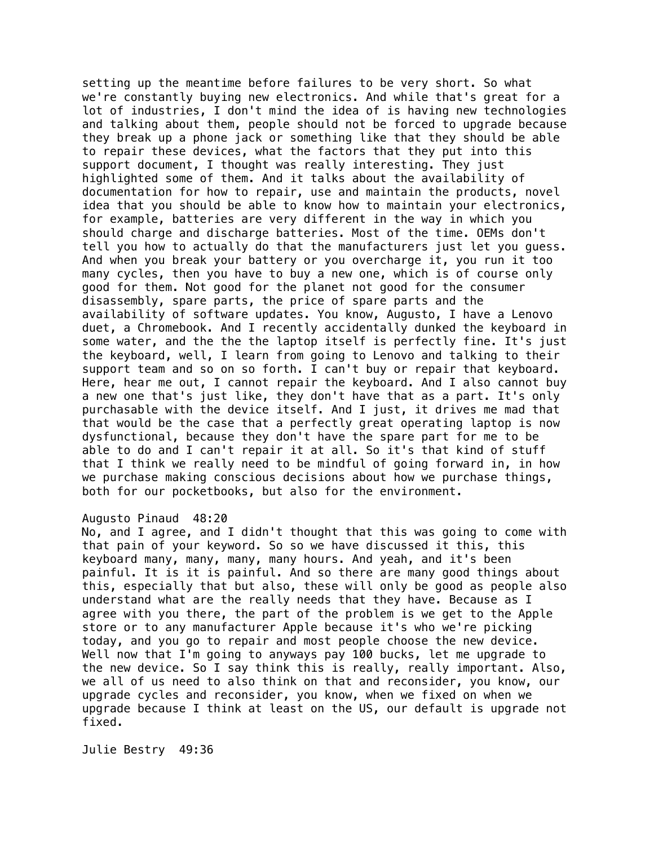setting up the meantime before failures to be very short. So what we're constantly buying new electronics. And while that's great for a lot of industries, I don't mind the idea of is having new technologies and talking about them, people should not be forced to upgrade because they break up a phone jack or something like that they should be able to repair these devices, what the factors that they put into this support document, I thought was really interesting. They just highlighted some of them. And it talks about the availability of documentation for how to repair, use and maintain the products, novel idea that you should be able to know how to maintain your electronics, for example, batteries are very different in the way in which you should charge and discharge batteries. Most of the time. OEMs don't tell you how to actually do that the manufacturers just let you guess. And when you break your battery or you overcharge it, you run it too many cycles, then you have to buy a new one, which is of course only good for them. Not good for the planet not good for the consumer disassembly, spare parts, the price of spare parts and the availability of software updates. You know, Augusto, I have a Lenovo duet, a Chromebook. And I recently accidentally dunked the keyboard in some water, and the the the laptop itself is perfectly fine. It's just the keyboard, well, I learn from going to Lenovo and talking to their support team and so on so forth. I can't buy or repair that keyboard. Here, hear me out, I cannot repair the keyboard. And I also cannot buy a new one that's just like, they don't have that as a part. It's only purchasable with the device itself. And I just, it drives me mad that that would be the case that a perfectly great operating laptop is now dysfunctional, because they don't have the spare part for me to be able to do and I can't repair it at all. So it's that kind of stuff that I think we really need to be mindful of going forward in, in how we purchase making conscious decisions about how we purchase things, both for our pocketbooks, but also for the environment.

#### Augusto Pinaud 48:20

No, and I agree, and I didn't thought that this was going to come with that pain of your keyword. So so we have discussed it this, this keyboard many, many, many, many hours. And yeah, and it's been painful. It is it is painful. And so there are many good things about this, especially that but also, these will only be good as people also understand what are the really needs that they have. Because as I agree with you there, the part of the problem is we get to the Apple store or to any manufacturer Apple because it's who we're picking today, and you go to repair and most people choose the new device. Well now that I'm going to anyways pay 100 bucks, let me upgrade to the new device. So I say think this is really, really important. Also, we all of us need to also think on that and reconsider, you know, our upgrade cycles and reconsider, you know, when we fixed on when we upgrade because I think at least on the US, our default is upgrade not fixed.

Julie Bestry 49:36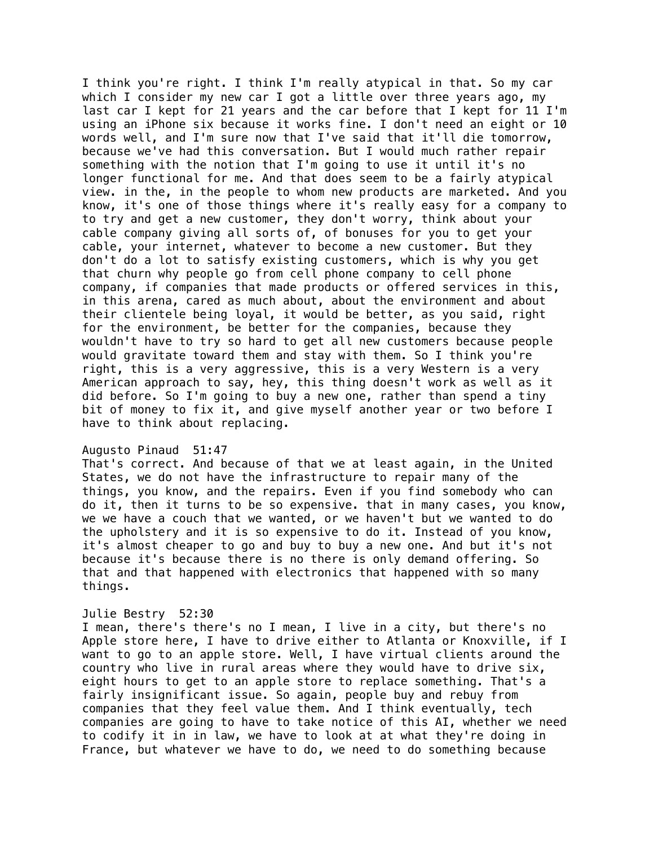I think you're right. I think I'm really atypical in that. So my car which I consider my new car I got a little over three years ago, my last car I kept for 21 years and the car before that I kept for 11 I'm using an iPhone six because it works fine. I don't need an eight or 10 words well, and I'm sure now that I've said that it'll die tomorrow, because we've had this conversation. But I would much rather repair something with the notion that I'm going to use it until it's no longer functional for me. And that does seem to be a fairly atypical view. in the, in the people to whom new products are marketed. And you know, it's one of those things where it's really easy for a company to to try and get a new customer, they don't worry, think about your cable company giving all sorts of, of bonuses for you to get your cable, your internet, whatever to become a new customer. But they don't do a lot to satisfy existing customers, which is why you get that churn why people go from cell phone company to cell phone company, if companies that made products or offered services in this, in this arena, cared as much about, about the environment and about their clientele being loyal, it would be better, as you said, right for the environment, be better for the companies, because they wouldn't have to try so hard to get all new customers because people would gravitate toward them and stay with them. So I think you're right, this is a very aggressive, this is a very Western is a very American approach to say, hey, this thing doesn't work as well as it did before. So I'm going to buy a new one, rather than spend a tiny bit of money to fix it, and give myself another year or two before I have to think about replacing.

#### Augusto Pinaud 51:47

That's correct. And because of that we at least again, in the United States, we do not have the infrastructure to repair many of the things, you know, and the repairs. Even if you find somebody who can do it, then it turns to be so expensive. that in many cases, you know, we we have a couch that we wanted, or we haven't but we wanted to do the upholstery and it is so expensive to do it. Instead of you know, it's almost cheaper to go and buy to buy a new one. And but it's not because it's because there is no there is only demand offering. So that and that happened with electronics that happened with so many things.

## Julie Bestry 52:30

I mean, there's there's no I mean, I live in a city, but there's no Apple store here, I have to drive either to Atlanta or Knoxville, if I want to go to an apple store. Well, I have virtual clients around the country who live in rural areas where they would have to drive six, eight hours to get to an apple store to replace something. That's a fairly insignificant issue. So again, people buy and rebuy from companies that they feel value them. And I think eventually, tech companies are going to have to take notice of this AI, whether we need to codify it in in law, we have to look at at what they're doing in France, but whatever we have to do, we need to do something because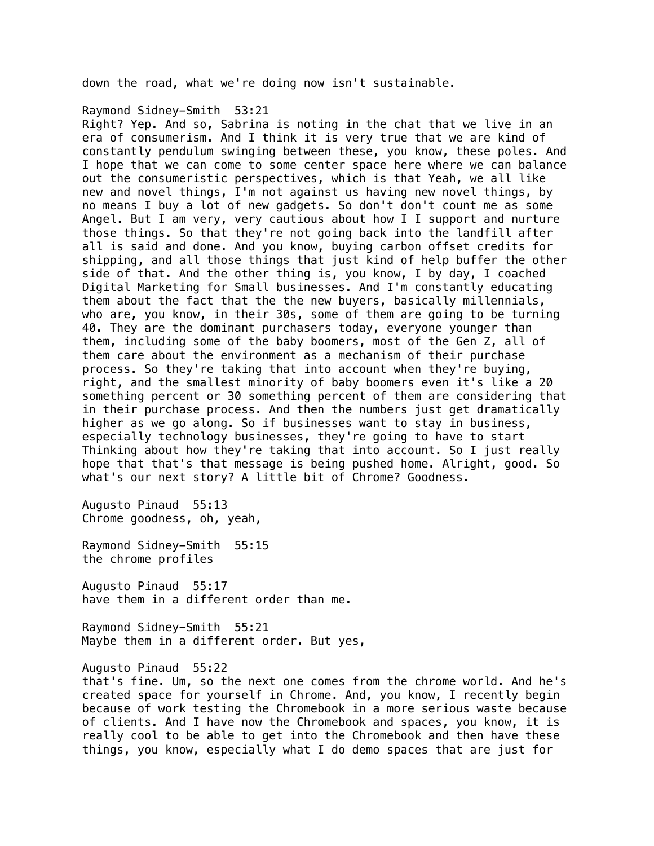down the road, what we're doing now isn't sustainable.

## Raymond Sidney-Smith 53:21

Right? Yep. And so, Sabrina is noting in the chat that we live in an era of consumerism. And I think it is very true that we are kind of constantly pendulum swinging between these, you know, these poles. And I hope that we can come to some center space here where we can balance out the consumeristic perspectives, which is that Yeah, we all like new and novel things, I'm not against us having new novel things, by no means I buy a lot of new gadgets. So don't don't count me as some Angel. But I am very, very cautious about how I I support and nurture those things. So that they're not going back into the landfill after all is said and done. And you know, buying carbon offset credits for shipping, and all those things that just kind of help buffer the other side of that. And the other thing is, you know, I by day, I coached Digital Marketing for Small businesses. And I'm constantly educating them about the fact that the the new buyers, basically millennials, who are, you know, in their 30s, some of them are going to be turning 40. They are the dominant purchasers today, everyone younger than them, including some of the baby boomers, most of the Gen Z, all of them care about the environment as a mechanism of their purchase process. So they're taking that into account when they're buying, right, and the smallest minority of baby boomers even it's like a 20 something percent or 30 something percent of them are considering that in their purchase process. And then the numbers just get dramatically higher as we go along. So if businesses want to stay in business, especially technology businesses, they're going to have to start Thinking about how they're taking that into account. So I just really hope that that's that message is being pushed home. Alright, good. So what's our next story? A little bit of Chrome? Goodness.

Augusto Pinaud 55:13 Chrome goodness, oh, yeah,

Raymond Sidney-Smith 55:15 the chrome profiles

Augusto Pinaud 55:17 have them in a different order than me.

Raymond Sidney-Smith 55:21 Maybe them in a different order. But yes,

Augusto Pinaud 55:22

that's fine. Um, so the next one comes from the chrome world. And he's created space for yourself in Chrome. And, you know, I recently begin because of work testing the Chromebook in a more serious waste because of clients. And I have now the Chromebook and spaces, you know, it is really cool to be able to get into the Chromebook and then have these things, you know, especially what I do demo spaces that are just for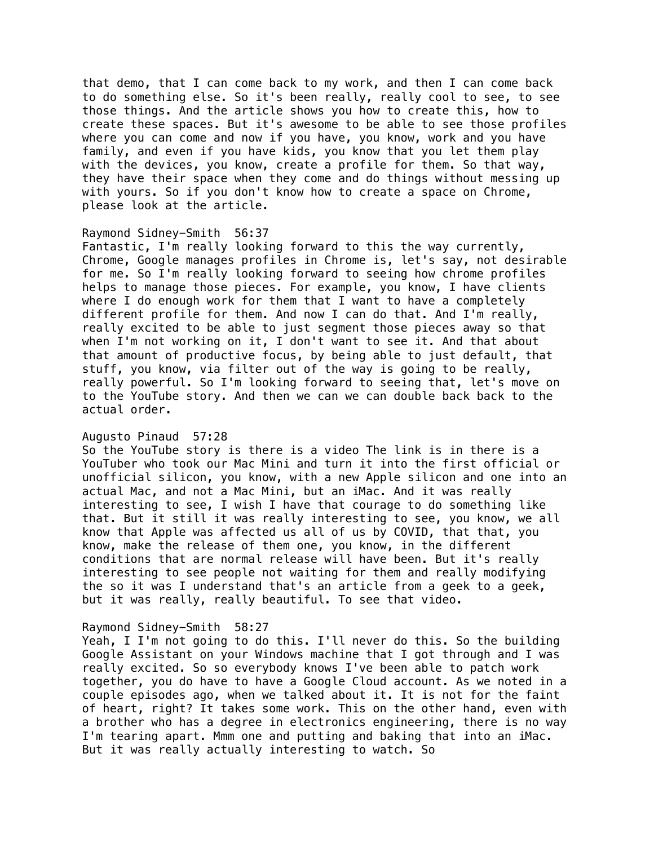that demo, that I can come back to my work, and then I can come back to do something else. So it's been really, really cool to see, to see those things. And the article shows you how to create this, how to create these spaces. But it's awesome to be able to see those profiles where you can come and now if you have, you know, work and you have family, and even if you have kids, you know that you let them play with the devices, you know, create a profile for them. So that way, they have their space when they come and do things without messing up with yours. So if you don't know how to create a space on Chrome, please look at the article.

#### Raymond Sidney-Smith 56:37

Fantastic, I'm really looking forward to this the way currently, Chrome, Google manages profiles in Chrome is, let's say, not desirable for me. So I'm really looking forward to seeing how chrome profiles helps to manage those pieces. For example, you know, I have clients where I do enough work for them that I want to have a completely different profile for them. And now I can do that. And I'm really, really excited to be able to just segment those pieces away so that when I'm not working on it, I don't want to see it. And that about that amount of productive focus, by being able to just default, that stuff, you know, via filter out of the way is going to be really, really powerful. So I'm looking forward to seeing that, let's move on to the YouTube story. And then we can we can double back back to the actual order.

#### Augusto Pinaud 57:28

So the YouTube story is there is a video The link is in there is a YouTuber who took our Mac Mini and turn it into the first official or unofficial silicon, you know, with a new Apple silicon and one into an actual Mac, and not a Mac Mini, but an iMac. And it was really interesting to see, I wish I have that courage to do something like that. But it still it was really interesting to see, you know, we all know that Apple was affected us all of us by COVID, that that, you know, make the release of them one, you know, in the different conditions that are normal release will have been. But it's really interesting to see people not waiting for them and really modifying the so it was I understand that's an article from a geek to a geek, but it was really, really beautiful. To see that video.

#### Raymond Sidney-Smith 58:27

Yeah, I I'm not going to do this. I'll never do this. So the building Google Assistant on your Windows machine that I got through and I was really excited. So so everybody knows I've been able to patch work together, you do have to have a Google Cloud account. As we noted in a couple episodes ago, when we talked about it. It is not for the faint of heart, right? It takes some work. This on the other hand, even with a brother who has a degree in electronics engineering, there is no way I'm tearing apart. Mmm one and putting and baking that into an iMac. But it was really actually interesting to watch. So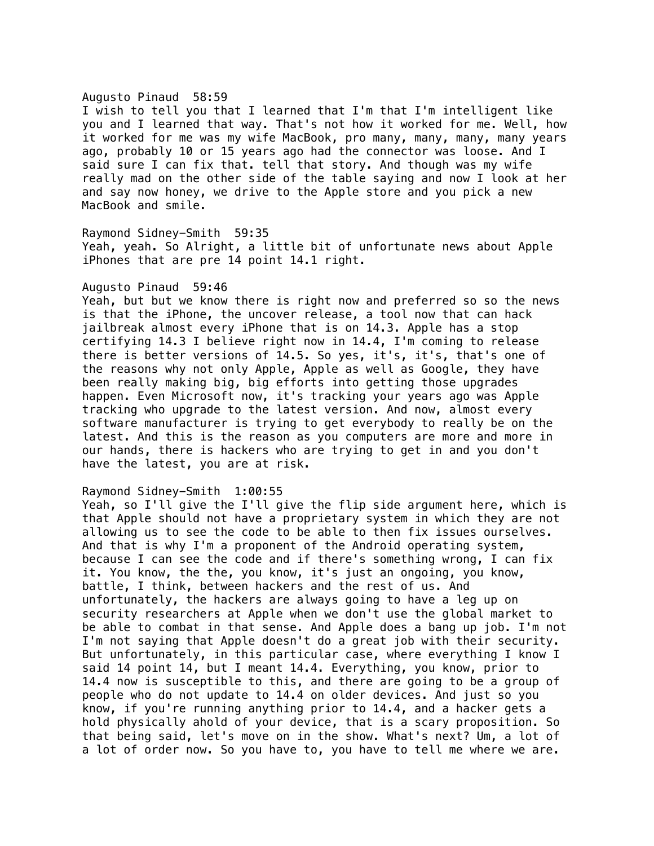#### Augusto Pinaud 58:59

I wish to tell you that I learned that I'm that I'm intelligent like you and I learned that way. That's not how it worked for me. Well, how it worked for me was my wife MacBook, pro many, many, many, many years ago, probably 10 or 15 years ago had the connector was loose. And I said sure I can fix that. tell that story. And though was my wife really mad on the other side of the table saying and now I look at her and say now honey, we drive to the Apple store and you pick a new MacBook and smile.

# Raymond Sidney-Smith 59:35 Yeah, yeah. So Alright, a little bit of unfortunate news about Apple iPhones that are pre 14 point 14.1 right.

#### Augusto Pinaud 59:46

Yeah, but but we know there is right now and preferred so so the news is that the iPhone, the uncover release, a tool now that can hack jailbreak almost every iPhone that is on 14.3. Apple has a stop certifying 14.3 I believe right now in 14.4, I'm coming to release there is better versions of 14.5. So yes, it's, it's, that's one of the reasons why not only Apple, Apple as well as Google, they have been really making big, big efforts into getting those upgrades happen. Even Microsoft now, it's tracking your years ago was Apple tracking who upgrade to the latest version. And now, almost every software manufacturer is trying to get everybody to really be on the latest. And this is the reason as you computers are more and more in our hands, there is hackers who are trying to get in and you don't have the latest, you are at risk.

## Raymond Sidney-Smith 1:00:55

Yeah, so I'll give the I'll give the flip side argument here, which is that Apple should not have a proprietary system in which they are not allowing us to see the code to be able to then fix issues ourselves. And that is why I'm a proponent of the Android operating system, because I can see the code and if there's something wrong, I can fix it. You know, the the, you know, it's just an ongoing, you know, battle, I think, between hackers and the rest of us. And unfortunately, the hackers are always going to have a leg up on security researchers at Apple when we don't use the global market to be able to combat in that sense. And Apple does a bang up job. I'm not I'm not saying that Apple doesn't do a great job with their security. But unfortunately, in this particular case, where everything I know I said 14 point 14, but I meant 14.4. Everything, you know, prior to 14.4 now is susceptible to this, and there are going to be a group of people who do not update to 14.4 on older devices. And just so you know, if you're running anything prior to 14.4, and a hacker gets a hold physically ahold of your device, that is a scary proposition. So that being said, let's move on in the show. What's next? Um, a lot of a lot of order now. So you have to, you have to tell me where we are.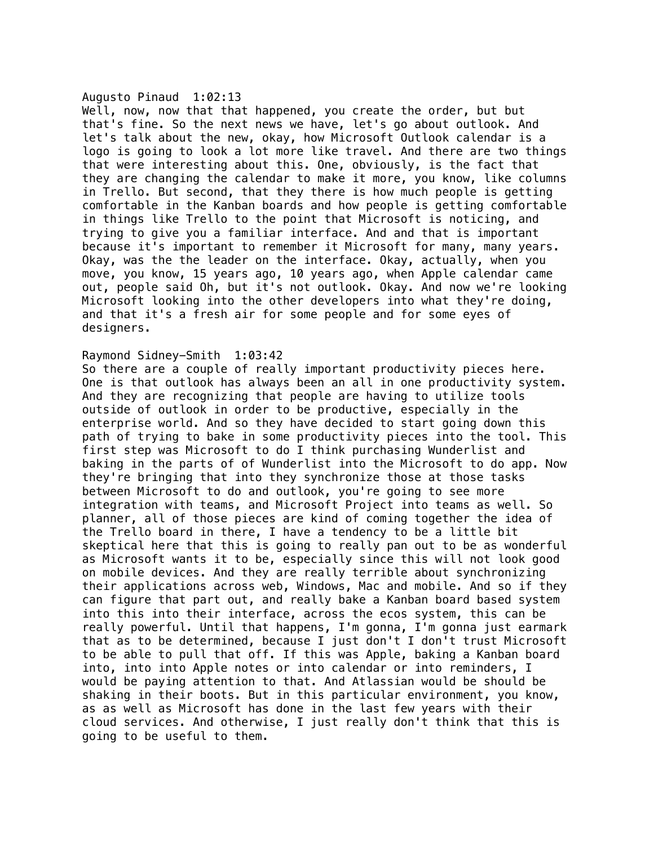#### Augusto Pinaud 1:02:13

Well, now, now that that happened, you create the order, but but that's fine. So the next news we have, let's go about outlook. And let's talk about the new, okay, how Microsoft Outlook calendar is a logo is going to look a lot more like travel. And there are two things that were interesting about this. One, obviously, is the fact that they are changing the calendar to make it more, you know, like columns in Trello. But second, that they there is how much people is getting comfortable in the Kanban boards and how people is getting comfortable in things like Trello to the point that Microsoft is noticing, and trying to give you a familiar interface. And and that is important because it's important to remember it Microsoft for many, many years. Okay, was the the leader on the interface. Okay, actually, when you move, you know, 15 years ago, 10 years ago, when Apple calendar came out, people said Oh, but it's not outlook. Okay. And now we're looking Microsoft looking into the other developers into what they're doing, and that it's a fresh air for some people and for some eyes of designers.

## Raymond Sidney-Smith 1:03:42

So there are a couple of really important productivity pieces here. One is that outlook has always been an all in one productivity system. And they are recognizing that people are having to utilize tools outside of outlook in order to be productive, especially in the enterprise world. And so they have decided to start going down this path of trying to bake in some productivity pieces into the tool. This first step was Microsoft to do I think purchasing Wunderlist and baking in the parts of of Wunderlist into the Microsoft to do app. Now they're bringing that into they synchronize those at those tasks between Microsoft to do and outlook, you're going to see more integration with teams, and Microsoft Project into teams as well. So planner, all of those pieces are kind of coming together the idea of the Trello board in there, I have a tendency to be a little bit skeptical here that this is going to really pan out to be as wonderful as Microsoft wants it to be, especially since this will not look good on mobile devices. And they are really terrible about synchronizing their applications across web, Windows, Mac and mobile. And so if they can figure that part out, and really bake a Kanban board based system into this into their interface, across the ecos system, this can be really powerful. Until that happens, I'm gonna, I'm gonna just earmark that as to be determined, because I just don't I don't trust Microsoft to be able to pull that off. If this was Apple, baking a Kanban board into, into into Apple notes or into calendar or into reminders, I would be paying attention to that. And Atlassian would be should be shaking in their boots. But in this particular environment, you know, as as well as Microsoft has done in the last few years with their cloud services. And otherwise, I just really don't think that this is going to be useful to them.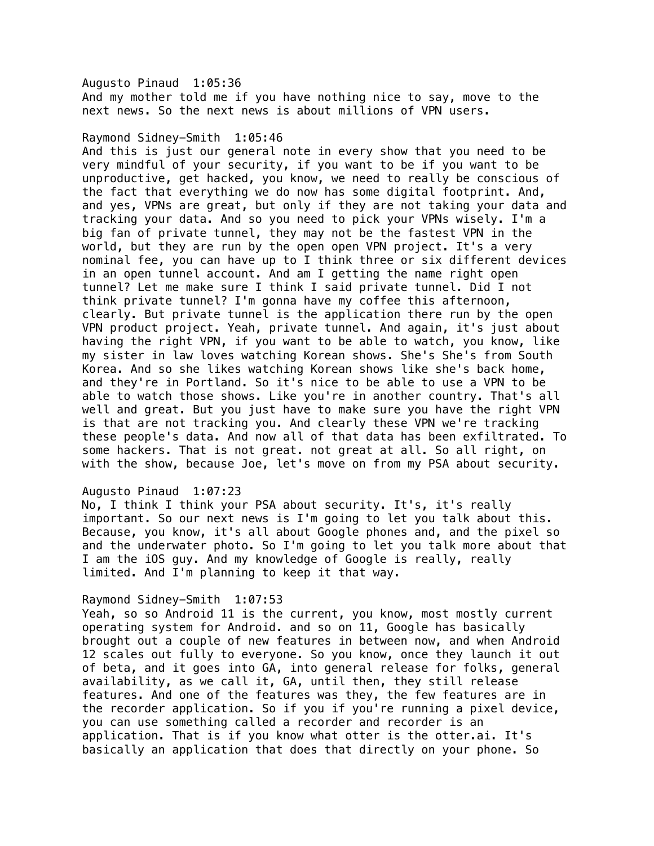# Augusto Pinaud 1:05:36

And my mother told me if you have nothing nice to say, move to the next news. So the next news is about millions of VPN users.

## Raymond Sidney-Smith 1:05:46

And this is just our general note in every show that you need to be very mindful of your security, if you want to be if you want to be unproductive, get hacked, you know, we need to really be conscious of the fact that everything we do now has some digital footprint. And, and yes, VPNs are great, but only if they are not taking your data and tracking your data. And so you need to pick your VPNs wisely. I'm a big fan of private tunnel, they may not be the fastest VPN in the world, but they are run by the open open VPN project. It's a very nominal fee, you can have up to I think three or six different devices in an open tunnel account. And am I getting the name right open tunnel? Let me make sure I think I said private tunnel. Did I not think private tunnel? I'm gonna have my coffee this afternoon, clearly. But private tunnel is the application there run by the open VPN product project. Yeah, private tunnel. And again, it's just about having the right VPN, if you want to be able to watch, you know, like my sister in law loves watching Korean shows. She's She's from South Korea. And so she likes watching Korean shows like she's back home, and they're in Portland. So it's nice to be able to use a VPN to be able to watch those shows. Like you're in another country. That's all well and great. But you just have to make sure you have the right VPN is that are not tracking you. And clearly these VPN we're tracking these people's data. And now all of that data has been exfiltrated. To some hackers. That is not great. not great at all. So all right, on with the show, because Joe, let's move on from my PSA about security.

#### Augusto Pinaud 1:07:23

No, I think I think your PSA about security. It's, it's really important. So our next news is I'm going to let you talk about this. Because, you know, it's all about Google phones and, and the pixel so and the underwater photo. So I'm going to let you talk more about that I am the iOS guy. And my knowledge of Google is really, really limited. And I'm planning to keep it that way.

#### Raymond Sidney-Smith 1:07:53

Yeah, so so Android 11 is the current, you know, most mostly current operating system for Android. and so on 11, Google has basically brought out a couple of new features in between now, and when Android 12 scales out fully to everyone. So you know, once they launch it out of beta, and it goes into GA, into general release for folks, general availability, as we call it, GA, until then, they still release features. And one of the features was they, the few features are in the recorder application. So if you if you're running a pixel device, you can use something called a recorder and recorder is an application. That is if you know what otter is the otter.ai. It's basically an application that does that directly on your phone. So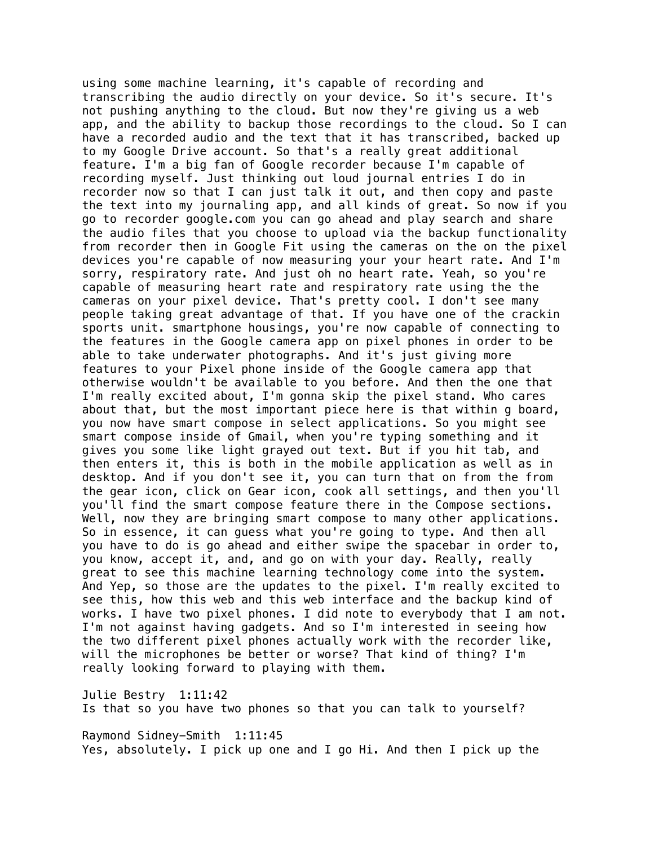using some machine learning, it's capable of recording and transcribing the audio directly on your device. So it's secure. It's not pushing anything to the cloud. But now they're giving us a web app, and the ability to backup those recordings to the cloud. So I can have a recorded audio and the text that it has transcribed, backed up to my Google Drive account. So that's a really great additional feature. I'm a big fan of Google recorder because I'm capable of recording myself. Just thinking out loud journal entries I do in recorder now so that I can just talk it out, and then copy and paste the text into my journaling app, and all kinds of great. So now if you go to recorder google.com you can go ahead and play search and share the audio files that you choose to upload via the backup functionality from recorder then in Google Fit using the cameras on the on the pixel devices you're capable of now measuring your your heart rate. And I'm sorry, respiratory rate. And just oh no heart rate. Yeah, so you're capable of measuring heart rate and respiratory rate using the the cameras on your pixel device. That's pretty cool. I don't see many people taking great advantage of that. If you have one of the crackin sports unit. smartphone housings, you're now capable of connecting to the features in the Google camera app on pixel phones in order to be able to take underwater photographs. And it's just giving more features to your Pixel phone inside of the Google camera app that otherwise wouldn't be available to you before. And then the one that I'm really excited about, I'm gonna skip the pixel stand. Who cares about that, but the most important piece here is that within g board, you now have smart compose in select applications. So you might see smart compose inside of Gmail, when you're typing something and it gives you some like light grayed out text. But if you hit tab, and then enters it, this is both in the mobile application as well as in desktop. And if you don't see it, you can turn that on from the from the gear icon, click on Gear icon, cook all settings, and then you'll you'll find the smart compose feature there in the Compose sections. Well, now they are bringing smart compose to many other applications. So in essence, it can guess what you're going to type. And then all you have to do is go ahead and either swipe the spacebar in order to, you know, accept it, and, and go on with your day. Really, really great to see this machine learning technology come into the system. And Yep, so those are the updates to the pixel. I'm really excited to see this, how this web and this web interface and the backup kind of works. I have two pixel phones. I did note to everybody that I am not. I'm not against having gadgets. And so I'm interested in seeing how the two different pixel phones actually work with the recorder like, will the microphones be better or worse? That kind of thing? I'm really looking forward to playing with them.

Julie Bestry 1:11:42

Is that so you have two phones so that you can talk to yourself?

Raymond Sidney-Smith 1:11:45 Yes, absolutely. I pick up one and I go Hi. And then I pick up the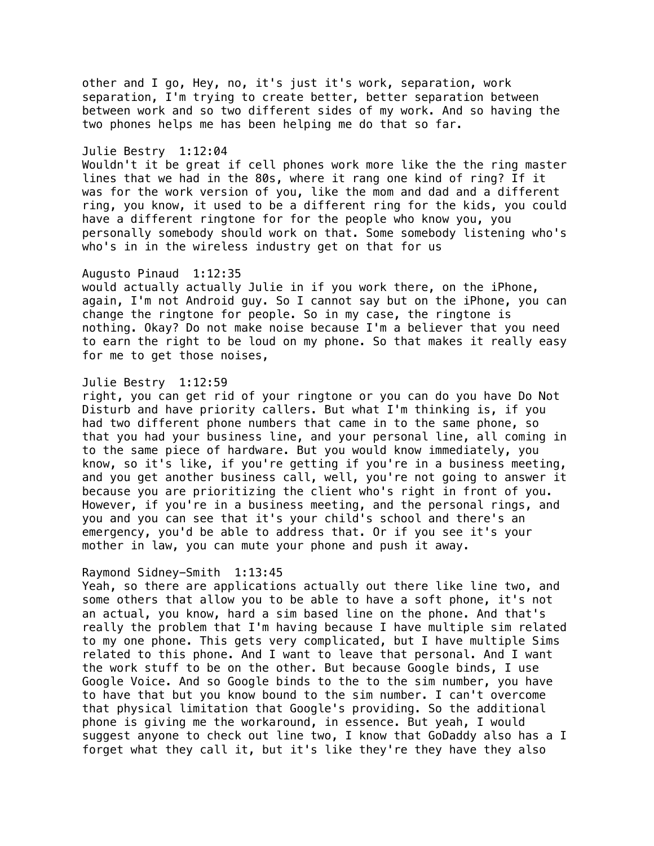other and I go, Hey, no, it's just it's work, separation, work separation, I'm trying to create better, better separation between between work and so two different sides of my work. And so having the two phones helps me has been helping me do that so far.

#### Julie Bestry 1:12:04

Wouldn't it be great if cell phones work more like the the ring master lines that we had in the 80s, where it rang one kind of ring? If it was for the work version of you, like the mom and dad and a different ring, you know, it used to be a different ring for the kids, you could have a different ringtone for for the people who know you, you personally somebody should work on that. Some somebody listening who's who's in in the wireless industry get on that for us

## Augusto Pinaud 1:12:35

would actually actually Julie in if you work there, on the iPhone, again, I'm not Android guy. So I cannot say but on the iPhone, you can change the ringtone for people. So in my case, the ringtone is nothing. Okay? Do not make noise because I'm a believer that you need to earn the right to be loud on my phone. So that makes it really easy for me to get those noises,

## Julie Bestry 1:12:59

right, you can get rid of your ringtone or you can do you have Do Not Disturb and have priority callers. But what I'm thinking is, if you had two different phone numbers that came in to the same phone, so that you had your business line, and your personal line, all coming in to the same piece of hardware. But you would know immediately, you know, so it's like, if you're getting if you're in a business meeting, and you get another business call, well, you're not going to answer it because you are prioritizing the client who's right in front of you. However, if you're in a business meeting, and the personal rings, and you and you can see that it's your child's school and there's an emergency, you'd be able to address that. Or if you see it's your mother in law, you can mute your phone and push it away.

#### Raymond Sidney-Smith 1:13:45

Yeah, so there are applications actually out there like line two, and some others that allow you to be able to have a soft phone, it's not an actual, you know, hard a sim based line on the phone. And that's really the problem that I'm having because I have multiple sim related to my one phone. This gets very complicated, but I have multiple Sims related to this phone. And I want to leave that personal. And I want the work stuff to be on the other. But because Google binds, I use Google Voice. And so Google binds to the to the sim number, you have to have that but you know bound to the sim number. I can't overcome that physical limitation that Google's providing. So the additional phone is giving me the workaround, in essence. But yeah, I would suggest anyone to check out line two, I know that GoDaddy also has a I forget what they call it, but it's like they're they have they also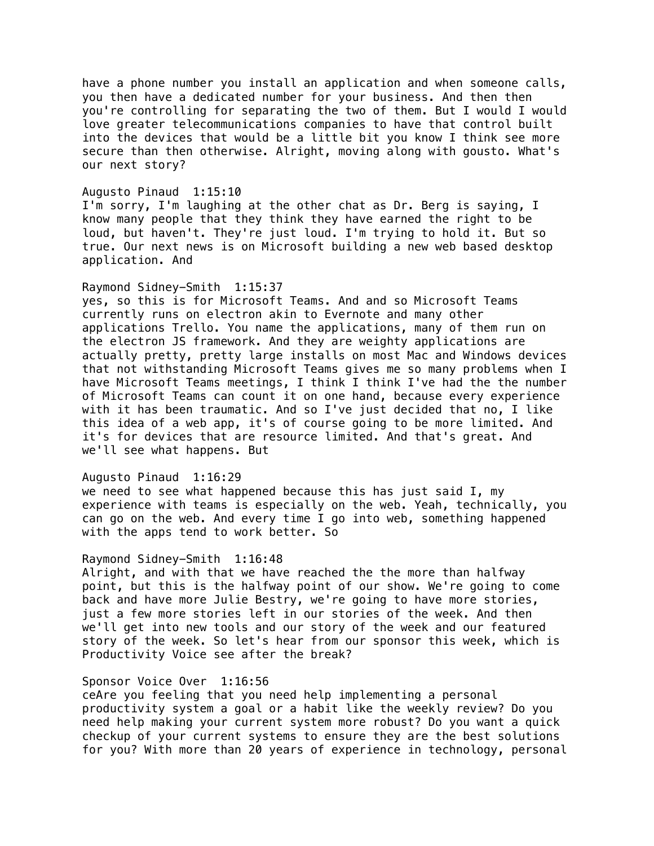have a phone number you install an application and when someone calls, you then have a dedicated number for your business. And then then you're controlling for separating the two of them. But I would I would love greater telecommunications companies to have that control built into the devices that would be a little bit you know I think see more secure than then otherwise. Alright, moving along with gousto. What's our next story?

#### Augusto Pinaud 1:15:10

I'm sorry, I'm laughing at the other chat as Dr. Berg is saying, I know many people that they think they have earned the right to be loud, but haven't. They're just loud. I'm trying to hold it. But so true. Our next news is on Microsoft building a new web based desktop application. And

# Raymond Sidney-Smith 1:15:37

yes, so this is for Microsoft Teams. And and so Microsoft Teams currently runs on electron akin to Evernote and many other applications Trello. You name the applications, many of them run on the electron JS framework. And they are weighty applications are actually pretty, pretty large installs on most Mac and Windows devices that not withstanding Microsoft Teams gives me so many problems when I have Microsoft Teams meetings, I think I think I've had the the number of Microsoft Teams can count it on one hand, because every experience with it has been traumatic. And so I've just decided that no, I like this idea of a web app, it's of course going to be more limited. And it's for devices that are resource limited. And that's great. And we'll see what happens. But

## Augusto Pinaud 1:16:29

we need to see what happened because this has just said I, my experience with teams is especially on the web. Yeah, technically, you can go on the web. And every time I go into web, something happened with the apps tend to work better. So

#### Raymond Sidney-Smith 1:16:48

Alright, and with that we have reached the the more than halfway point, but this is the halfway point of our show. We're going to come back and have more Julie Bestry, we're going to have more stories, just a few more stories left in our stories of the week. And then we'll get into new tools and our story of the week and our featured story of the week. So let's hear from our sponsor this week, which is Productivity Voice see after the break?

# Sponsor Voice Over 1:16:56

ceAre you feeling that you need help implementing a personal productivity system a goal or a habit like the weekly review? Do you need help making your current system more robust? Do you want a quick checkup of your current systems to ensure they are the best solutions for you? With more than 20 years of experience in technology, personal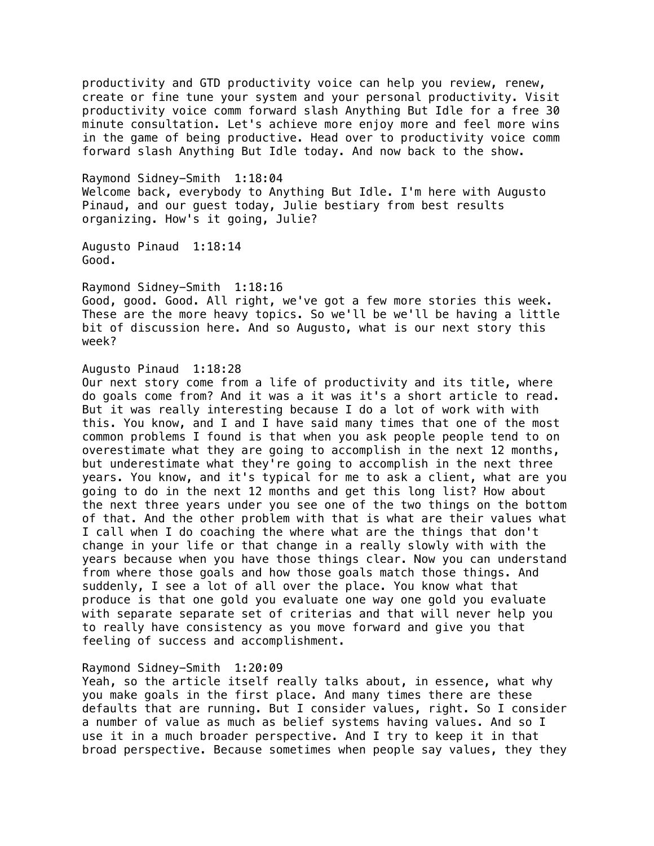productivity and GTD productivity voice can help you review, renew, create or fine tune your system and your personal productivity. Visit productivity voice comm forward slash Anything But Idle for a free 30 minute consultation. Let's achieve more enjoy more and feel more wins in the game of being productive. Head over to productivity voice comm forward slash Anything But Idle today. And now back to the show.

Raymond Sidney-Smith 1:18:04 Welcome back, everybody to Anything But Idle. I'm here with Augusto Pinaud, and our guest today, Julie bestiary from best results organizing. How's it going, Julie?

Augusto Pinaud 1:18:14 Good.

Raymond Sidney-Smith 1:18:16

Good, good. Good. All right, we've got a few more stories this week. These are the more heavy topics. So we'll be we'll be having a little bit of discussion here. And so Augusto, what is our next story this week?

## Augusto Pinaud 1:18:28

Our next story come from a life of productivity and its title, where do goals come from? And it was a it was it's a short article to read. But it was really interesting because I do a lot of work with with this. You know, and I and I have said many times that one of the most common problems I found is that when you ask people people tend to on overestimate what they are going to accomplish in the next 12 months, but underestimate what they're going to accomplish in the next three years. You know, and it's typical for me to ask a client, what are you going to do in the next 12 months and get this long list? How about the next three years under you see one of the two things on the bottom of that. And the other problem with that is what are their values what I call when I do coaching the where what are the things that don't change in your life or that change in a really slowly with with the years because when you have those things clear. Now you can understand from where those goals and how those goals match those things. And suddenly, I see a lot of all over the place. You know what that produce is that one gold you evaluate one way one gold you evaluate with separate separate set of criterias and that will never help you to really have consistency as you move forward and give you that feeling of success and accomplishment.

#### Raymond Sidney-Smith 1:20:09

Yeah, so the article itself really talks about, in essence, what why you make goals in the first place. And many times there are these defaults that are running. But I consider values, right. So I consider a number of value as much as belief systems having values. And so I use it in a much broader perspective. And I try to keep it in that broad perspective. Because sometimes when people say values, they they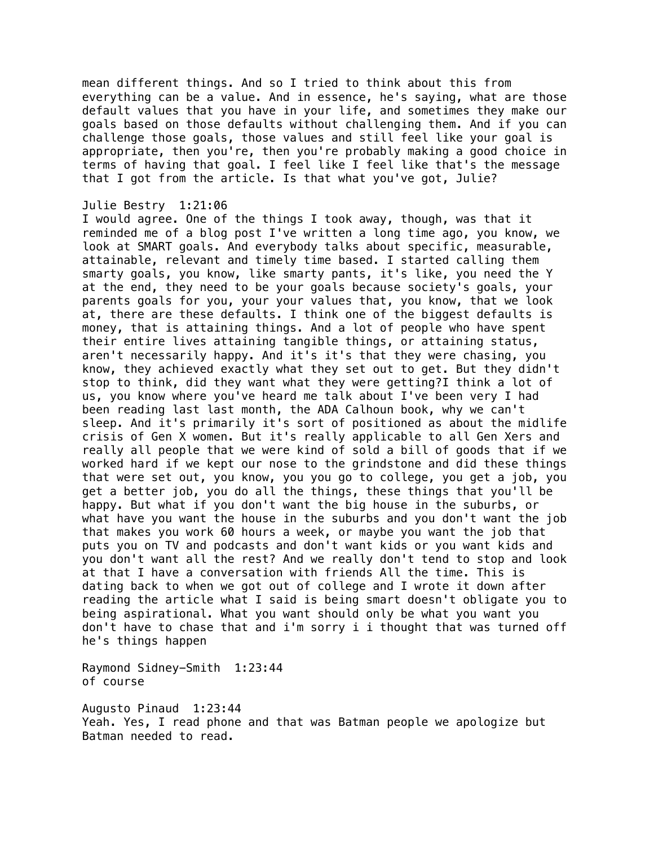mean different things. And so I tried to think about this from everything can be a value. And in essence, he's saying, what are those default values that you have in your life, and sometimes they make our goals based on those defaults without challenging them. And if you can challenge those goals, those values and still feel like your goal is appropriate, then you're, then you're probably making a good choice in terms of having that goal. I feel like I feel like that's the message that I got from the article. Is that what you've got, Julie?

## Julie Bestry 1:21:06

I would agree. One of the things I took away, though, was that it reminded me of a blog post I've written a long time ago, you know, we look at SMART goals. And everybody talks about specific, measurable, attainable, relevant and timely time based. I started calling them smarty goals, you know, like smarty pants, it's like, you need the Y at the end, they need to be your goals because society's goals, your parents goals for you, your your values that, you know, that we look at, there are these defaults. I think one of the biggest defaults is money, that is attaining things. And a lot of people who have spent their entire lives attaining tangible things, or attaining status, aren't necessarily happy. And it's it's that they were chasing, you know, they achieved exactly what they set out to get. But they didn't stop to think, did they want what they were getting?I think a lot of us, you know where you've heard me talk about I've been very I had been reading last last month, the ADA Calhoun book, why we can't sleep. And it's primarily it's sort of positioned as about the midlife crisis of Gen X women. But it's really applicable to all Gen Xers and really all people that we were kind of sold a bill of goods that if we worked hard if we kept our nose to the grindstone and did these things that were set out, you know, you you go to college, you get a job, you get a better job, you do all the things, these things that you'll be happy. But what if you don't want the big house in the suburbs, or what have you want the house in the suburbs and you don't want the job that makes you work 60 hours a week, or maybe you want the job that puts you on TV and podcasts and don't want kids or you want kids and you don't want all the rest? And we really don't tend to stop and look at that I have a conversation with friends All the time. This is dating back to when we got out of college and I wrote it down after reading the article what I said is being smart doesn't obligate you to being aspirational. What you want should only be what you want you don't have to chase that and i'm sorry i i thought that was turned off he's things happen

Raymond Sidney-Smith 1:23:44 of course

Augusto Pinaud 1:23:44 Yeah. Yes, I read phone and that was Batman people we apologize but Batman needed to read.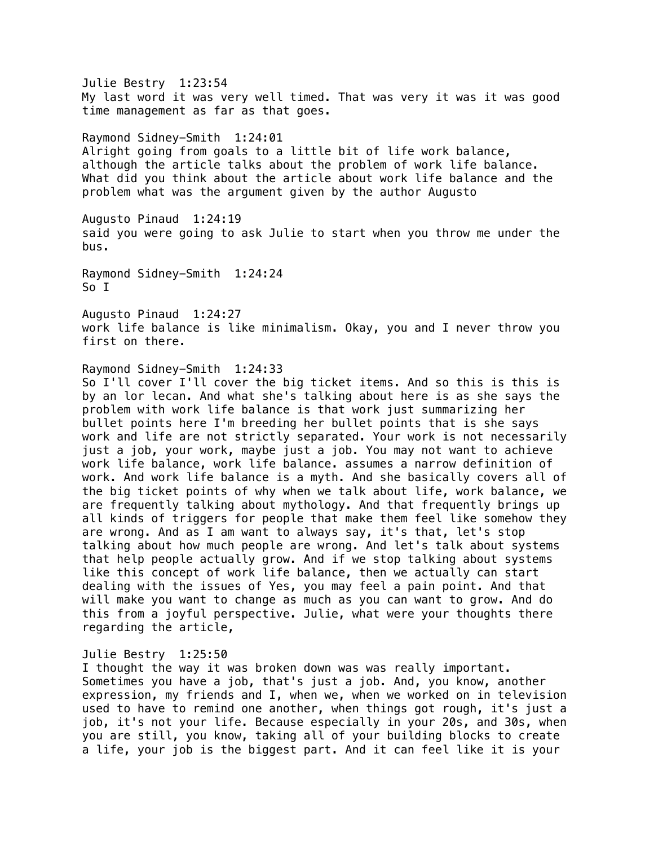Julie Bestry 1:23:54 My last word it was very well timed. That was very it was it was good time management as far as that goes.

Raymond Sidney-Smith 1:24:01 Alright going from goals to a little bit of life work balance, although the article talks about the problem of work life balance. What did you think about the article about work life balance and the problem what was the argument given by the author Augusto

Augusto Pinaud 1:24:19 said you were going to ask Julie to start when you throw me under the bus.

Raymond Sidney-Smith 1:24:24 So I

Augusto Pinaud 1:24:27 work life balance is like minimalism. Okay, you and I never throw you first on there.

## Raymond Sidney-Smith 1:24:33

So I'll cover I'll cover the big ticket items. And so this is this is by an lor lecan. And what she's talking about here is as she says the problem with work life balance is that work just summarizing her bullet points here I'm breeding her bullet points that is she says work and life are not strictly separated. Your work is not necessarily just a job, your work, maybe just a job. You may not want to achieve work life balance, work life balance. assumes a narrow definition of work. And work life balance is a myth. And she basically covers all of the big ticket points of why when we talk about life, work balance, we are frequently talking about mythology. And that frequently brings up all kinds of triggers for people that make them feel like somehow they are wrong. And as I am want to always say, it's that, let's stop talking about how much people are wrong. And let's talk about systems that help people actually grow. And if we stop talking about systems like this concept of work life balance, then we actually can start dealing with the issues of Yes, you may feel a pain point. And that will make you want to change as much as you can want to grow. And do this from a joyful perspective. Julie, what were your thoughts there regarding the article,

#### Julie Bestry 1:25:50

I thought the way it was broken down was was really important. Sometimes you have a job, that's just a job. And, you know, another expression, my friends and I, when we, when we worked on in television used to have to remind one another, when things got rough, it's just a job, it's not your life. Because especially in your 20s, and 30s, when you are still, you know, taking all of your building blocks to create a life, your job is the biggest part. And it can feel like it is your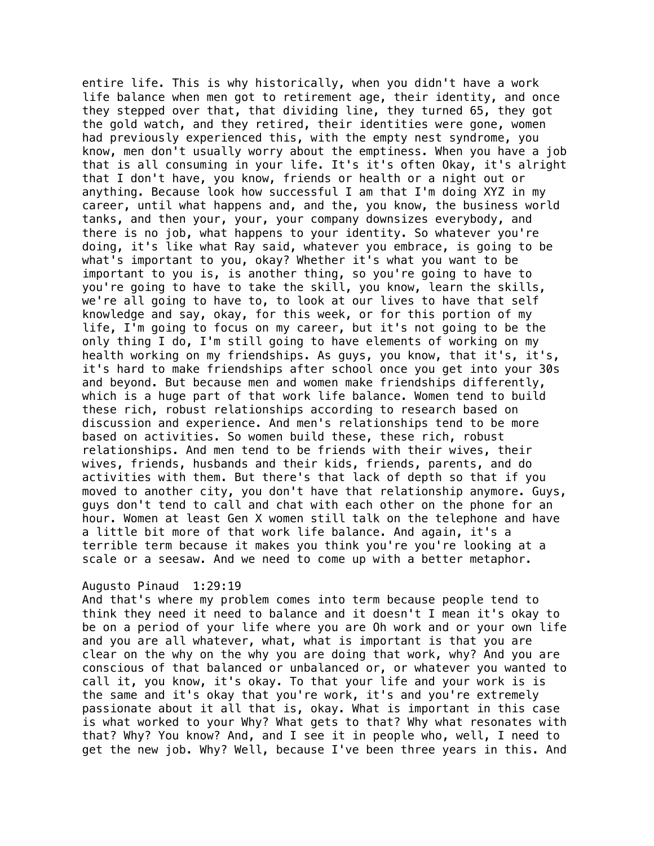entire life. This is why historically, when you didn't have a work life balance when men got to retirement age, their identity, and once they stepped over that, that dividing line, they turned 65, they got the gold watch, and they retired, their identities were gone, women had previously experienced this, with the empty nest syndrome, you know, men don't usually worry about the emptiness. When you have a job that is all consuming in your life. It's it's often Okay, it's alright that I don't have, you know, friends or health or a night out or anything. Because look how successful I am that I'm doing XYZ in my career, until what happens and, and the, you know, the business world tanks, and then your, your, your company downsizes everybody, and there is no job, what happens to your identity. So whatever you're doing, it's like what Ray said, whatever you embrace, is going to be what's important to you, okay? Whether it's what you want to be important to you is, is another thing, so you're going to have to you're going to have to take the skill, you know, learn the skills, we're all going to have to, to look at our lives to have that self knowledge and say, okay, for this week, or for this portion of my life, I'm going to focus on my career, but it's not going to be the only thing I do, I'm still going to have elements of working on my health working on my friendships. As guys, you know, that it's, it's, it's hard to make friendships after school once you get into your 30s and beyond. But because men and women make friendships differently, which is a huge part of that work life balance. Women tend to build these rich, robust relationships according to research based on discussion and experience. And men's relationships tend to be more based on activities. So women build these, these rich, robust relationships. And men tend to be friends with their wives, their wives, friends, husbands and their kids, friends, parents, and do activities with them. But there's that lack of depth so that if you moved to another city, you don't have that relationship anymore. Guys, guys don't tend to call and chat with each other on the phone for an hour. Women at least Gen X women still talk on the telephone and have a little bit more of that work life balance. And again, it's a terrible term because it makes you think you're you're looking at a scale or a seesaw. And we need to come up with a better metaphor.

#### Augusto Pinaud 1:29:19

And that's where my problem comes into term because people tend to think they need it need to balance and it doesn't I mean it's okay to be on a period of your life where you are Oh work and or your own life and you are all whatever, what, what is important is that you are clear on the why on the why you are doing that work, why? And you are conscious of that balanced or unbalanced or, or whatever you wanted to call it, you know, it's okay. To that your life and your work is is the same and it's okay that you're work, it's and you're extremely passionate about it all that is, okay. What is important in this case is what worked to your Why? What gets to that? Why what resonates with that? Why? You know? And, and I see it in people who, well, I need to get the new job. Why? Well, because I've been three years in this. And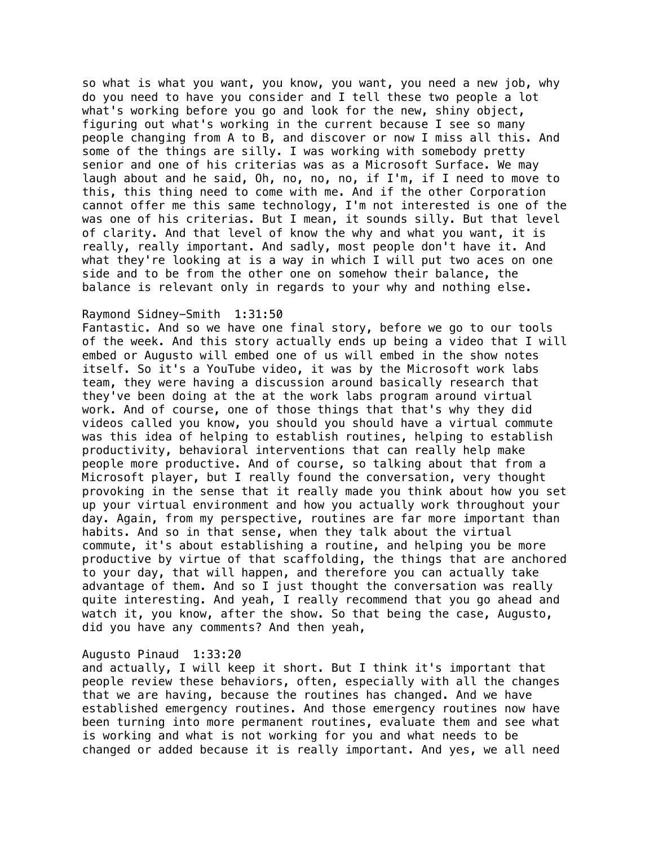so what is what you want, you know, you want, you need a new job, why do you need to have you consider and I tell these two people a lot what's working before you go and look for the new, shiny object, figuring out what's working in the current because I see so many people changing from A to B, and discover or now I miss all this. And some of the things are silly. I was working with somebody pretty senior and one of his criterias was as a Microsoft Surface. We may laugh about and he said, Oh, no, no, no, if I'm, if I need to move to this, this thing need to come with me. And if the other Corporation cannot offer me this same technology, I'm not interested is one of the was one of his criterias. But I mean, it sounds silly. But that level of clarity. And that level of know the why and what you want, it is really, really important. And sadly, most people don't have it. And what they're looking at is a way in which I will put two aces on one side and to be from the other one on somehow their balance, the balance is relevant only in regards to your why and nothing else.

## Raymond Sidney-Smith 1:31:50

Fantastic. And so we have one final story, before we go to our tools of the week. And this story actually ends up being a video that I will embed or Augusto will embed one of us will embed in the show notes itself. So it's a YouTube video, it was by the Microsoft work labs team, they were having a discussion around basically research that they've been doing at the at the work labs program around virtual work. And of course, one of those things that that's why they did videos called you know, you should you should have a virtual commute was this idea of helping to establish routines, helping to establish productivity, behavioral interventions that can really help make people more productive. And of course, so talking about that from a Microsoft player, but I really found the conversation, very thought provoking in the sense that it really made you think about how you set up your virtual environment and how you actually work throughout your day. Again, from my perspective, routines are far more important than habits. And so in that sense, when they talk about the virtual commute, it's about establishing a routine, and helping you be more productive by virtue of that scaffolding, the things that are anchored to your day, that will happen, and therefore you can actually take advantage of them. And so I just thought the conversation was really quite interesting. And yeah, I really recommend that you go ahead and watch it, you know, after the show. So that being the case, Augusto, did you have any comments? And then yeah,

#### Augusto Pinaud 1:33:20

and actually, I will keep it short. But I think it's important that people review these behaviors, often, especially with all the changes that we are having, because the routines has changed. And we have established emergency routines. And those emergency routines now have been turning into more permanent routines, evaluate them and see what is working and what is not working for you and what needs to be changed or added because it is really important. And yes, we all need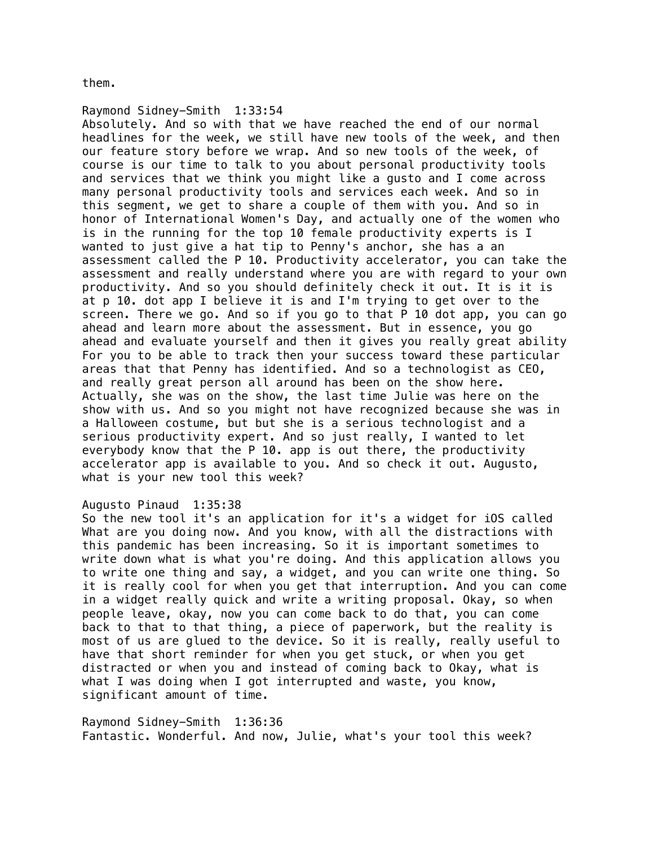them.

Raymond Sidney-Smith 1:33:54 Absolutely. And so with that we have reached the end of our normal headlines for the week, we still have new tools of the week, and then our feature story before we wrap. And so new tools of the week, of course is our time to talk to you about personal productivity tools and services that we think you might like a gusto and I come across many personal productivity tools and services each week. And so in this segment, we get to share a couple of them with you. And so in honor of International Women's Day, and actually one of the women who is in the running for the top 10 female productivity experts is I wanted to just give a hat tip to Penny's anchor, she has a an assessment called the P 10. Productivity accelerator, you can take the assessment and really understand where you are with regard to your own productivity. And so you should definitely check it out. It is it is at p 10. dot app I believe it is and I'm trying to get over to the screen. There we go. And so if you go to that P 10 dot app, you can go ahead and learn more about the assessment. But in essence, you go ahead and evaluate yourself and then it gives you really great ability For you to be able to track then your success toward these particular areas that that Penny has identified. And so a technologist as CEO, and really great person all around has been on the show here. Actually, she was on the show, the last time Julie was here on the show with us. And so you might not have recognized because she was in a Halloween costume, but but she is a serious technologist and a serious productivity expert. And so just really, I wanted to let everybody know that the P 10. app is out there, the productivity accelerator app is available to you. And so check it out. Augusto, what is your new tool this week?

# Augusto Pinaud 1:35:38

So the new tool it's an application for it's a widget for iOS called What are you doing now. And you know, with all the distractions with this pandemic has been increasing. So it is important sometimes to write down what is what you're doing. And this application allows you to write one thing and say, a widget, and you can write one thing. So it is really cool for when you get that interruption. And you can come in a widget really quick and write a writing proposal. Okay, so when people leave, okay, now you can come back to do that, you can come back to that to that thing, a piece of paperwork, but the reality is most of us are glued to the device. So it is really, really useful to have that short reminder for when you get stuck, or when you get distracted or when you and instead of coming back to Okay, what is what I was doing when I got interrupted and waste, you know, significant amount of time.

Raymond Sidney-Smith 1:36:36 Fantastic. Wonderful. And now, Julie, what's your tool this week?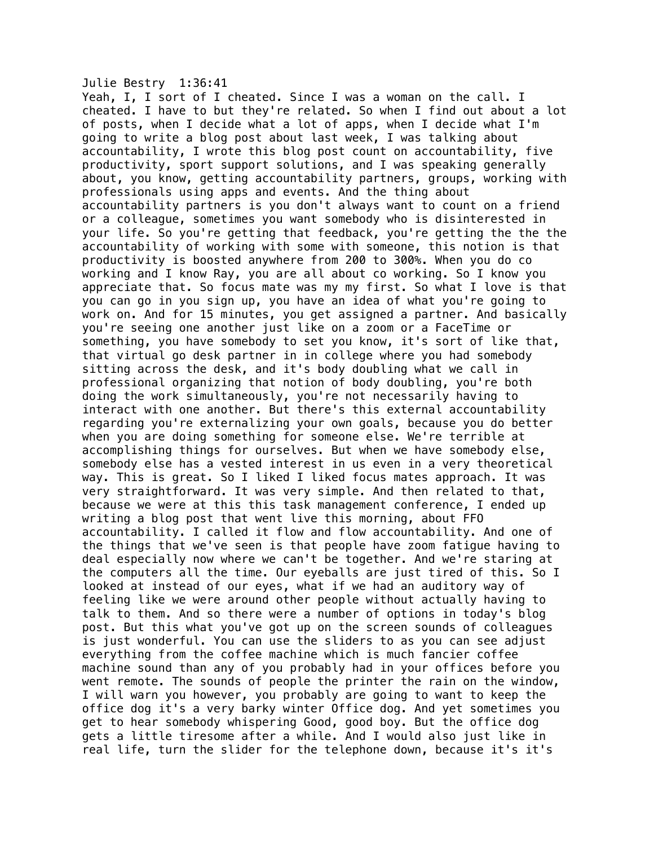## Julie Bestry 1:36:41

Yeah, I, I sort of I cheated. Since I was a woman on the call. I cheated. I have to but they're related. So when I find out about a lot of posts, when I decide what a lot of apps, when I decide what I'm going to write a blog post about last week, I was talking about accountability, I wrote this blog post count on accountability, five productivity, sport support solutions, and I was speaking generally about, you know, getting accountability partners, groups, working with professionals using apps and events. And the thing about accountability partners is you don't always want to count on a friend or a colleague, sometimes you want somebody who is disinterested in your life. So you're getting that feedback, you're getting the the the accountability of working with some with someone, this notion is that productivity is boosted anywhere from 200 to 300%. When you do co working and I know Ray, you are all about co working. So I know you appreciate that. So focus mate was my my first. So what I love is that you can go in you sign up, you have an idea of what you're going to work on. And for 15 minutes, you get assigned a partner. And basically you're seeing one another just like on a zoom or a FaceTime or something, you have somebody to set you know, it's sort of like that, that virtual go desk partner in in college where you had somebody sitting across the desk, and it's body doubling what we call in professional organizing that notion of body doubling, you're both doing the work simultaneously, you're not necessarily having to interact with one another. But there's this external accountability regarding you're externalizing your own goals, because you do better when you are doing something for someone else. We're terrible at accomplishing things for ourselves. But when we have somebody else, somebody else has a vested interest in us even in a very theoretical way. This is great. So I liked I liked focus mates approach. It was very straightforward. It was very simple. And then related to that, because we were at this this task management conference, I ended up writing a blog post that went live this morning, about FFO accountability. I called it flow and flow accountability. And one of the things that we've seen is that people have zoom fatigue having to deal especially now where we can't be together. And we're staring at the computers all the time. Our eyeballs are just tired of this. So I looked at instead of our eyes, what if we had an auditory way of feeling like we were around other people without actually having to talk to them. And so there were a number of options in today's blog post. But this what you've got up on the screen sounds of colleagues is just wonderful. You can use the sliders to as you can see adjust everything from the coffee machine which is much fancier coffee machine sound than any of you probably had in your offices before you went remote. The sounds of people the printer the rain on the window, I will warn you however, you probably are going to want to keep the office dog it's a very barky winter Office dog. And yet sometimes you get to hear somebody whispering Good, good boy. But the office dog gets a little tiresome after a while. And I would also just like in real life, turn the slider for the telephone down, because it's it's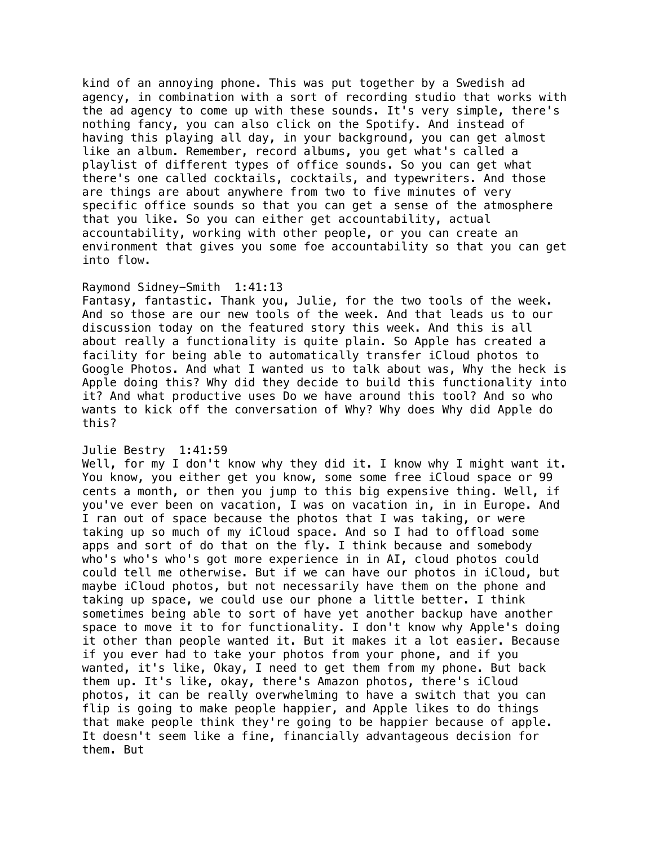kind of an annoying phone. This was put together by a Swedish ad agency, in combination with a sort of recording studio that works with the ad agency to come up with these sounds. It's very simple, there's nothing fancy, you can also click on the Spotify. And instead of having this playing all day, in your background, you can get almost like an album. Remember, record albums, you get what's called a playlist of different types of office sounds. So you can get what there's one called cocktails, cocktails, and typewriters. And those are things are about anywhere from two to five minutes of very specific office sounds so that you can get a sense of the atmosphere that you like. So you can either get accountability, actual accountability, working with other people, or you can create an environment that gives you some foe accountability so that you can get into flow.

# Raymond Sidney-Smith 1:41:13

Fantasy, fantastic. Thank you, Julie, for the two tools of the week. And so those are our new tools of the week. And that leads us to our discussion today on the featured story this week. And this is all about really a functionality is quite plain. So Apple has created a facility for being able to automatically transfer iCloud photos to Google Photos. And what I wanted us to talk about was, Why the heck is Apple doing this? Why did they decide to build this functionality into it? And what productive uses Do we have around this tool? And so who wants to kick off the conversation of Why? Why does Why did Apple do this?

## Julie Bestry 1:41:59

Well, for my I don't know why they did it. I know why I might want it. You know, you either get you know, some some free iCloud space or 99 cents a month, or then you jump to this big expensive thing. Well, if you've ever been on vacation, I was on vacation in, in in Europe. And I ran out of space because the photos that I was taking, or were taking up so much of my iCloud space. And so I had to offload some apps and sort of do that on the fly. I think because and somebody who's who's who's got more experience in in AI, cloud photos could could tell me otherwise. But if we can have our photos in iCloud, but maybe iCloud photos, but not necessarily have them on the phone and taking up space, we could use our phone a little better. I think sometimes being able to sort of have yet another backup have another space to move it to for functionality. I don't know why Apple's doing it other than people wanted it. But it makes it a lot easier. Because if you ever had to take your photos from your phone, and if you wanted, it's like, Okay, I need to get them from my phone. But back them up. It's like, okay, there's Amazon photos, there's iCloud photos, it can be really overwhelming to have a switch that you can flip is going to make people happier, and Apple likes to do things that make people think they're going to be happier because of apple. It doesn't seem like a fine, financially advantageous decision for them. But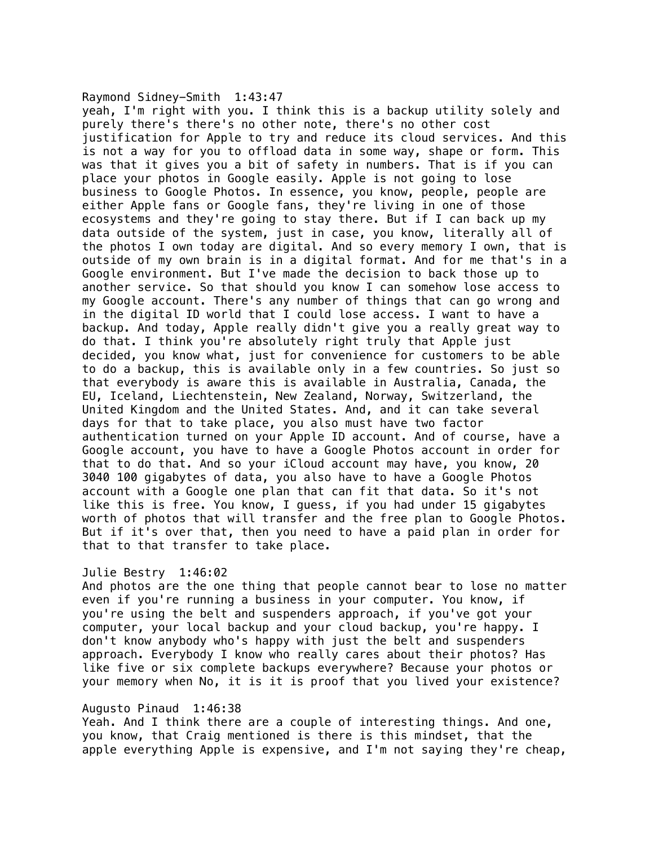Raymond Sidney-Smith 1:43:47 yeah, I'm right with you. I think this is a backup utility solely and purely there's there's no other note, there's no other cost justification for Apple to try and reduce its cloud services. And this is not a way for you to offload data in some way, shape or form. This was that it gives you a bit of safety in numbers. That is if you can place your photos in Google easily. Apple is not going to lose business to Google Photos. In essence, you know, people, people are either Apple fans or Google fans, they're living in one of those ecosystems and they're going to stay there. But if I can back up my data outside of the system, just in case, you know, literally all of the photos I own today are digital. And so every memory I own, that is outside of my own brain is in a digital format. And for me that's in a Google environment. But I've made the decision to back those up to another service. So that should you know I can somehow lose access to my Google account. There's any number of things that can go wrong and in the digital ID world that I could lose access. I want to have a backup. And today, Apple really didn't give you a really great way to do that. I think you're absolutely right truly that Apple just decided, you know what, just for convenience for customers to be able to do a backup, this is available only in a few countries. So just so that everybody is aware this is available in Australia, Canada, the EU, Iceland, Liechtenstein, New Zealand, Norway, Switzerland, the United Kingdom and the United States. And, and it can take several days for that to take place, you also must have two factor authentication turned on your Apple ID account. And of course, have a Google account, you have to have a Google Photos account in order for that to do that. And so your iCloud account may have, you know, 20 3040 100 gigabytes of data, you also have to have a Google Photos account with a Google one plan that can fit that data. So it's not like this is free. You know, I guess, if you had under 15 gigabytes worth of photos that will transfer and the free plan to Google Photos. But if it's over that, then you need to have a paid plan in order for that to that transfer to take place.

#### Julie Bestry 1:46:02

And photos are the one thing that people cannot bear to lose no matter even if you're running a business in your computer. You know, if you're using the belt and suspenders approach, if you've got your computer, your local backup and your cloud backup, you're happy. I don't know anybody who's happy with just the belt and suspenders approach. Everybody I know who really cares about their photos? Has like five or six complete backups everywhere? Because your photos or your memory when No, it is it is proof that you lived your existence?

#### Augusto Pinaud 1:46:38

Yeah. And I think there are a couple of interesting things. And one, you know, that Craig mentioned is there is this mindset, that the apple everything Apple is expensive, and I'm not saying they're cheap,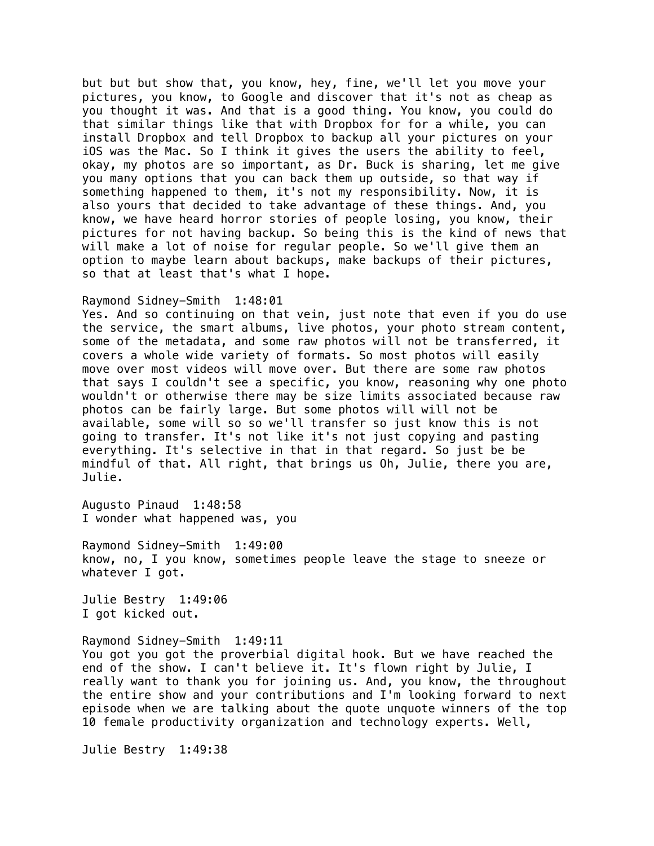but but but show that, you know, hey, fine, we'll let you move your pictures, you know, to Google and discover that it's not as cheap as you thought it was. And that is a good thing. You know, you could do that similar things like that with Dropbox for for a while, you can install Dropbox and tell Dropbox to backup all your pictures on your iOS was the Mac. So I think it gives the users the ability to feel, okay, my photos are so important, as Dr. Buck is sharing, let me give you many options that you can back them up outside, so that way if something happened to them, it's not my responsibility. Now, it is also yours that decided to take advantage of these things. And, you know, we have heard horror stories of people losing, you know, their pictures for not having backup. So being this is the kind of news that will make a lot of noise for regular people. So we'll give them an option to maybe learn about backups, make backups of their pictures, so that at least that's what I hope.

#### Raymond Sidney-Smith 1:48:01

Yes. And so continuing on that vein, just note that even if you do use the service, the smart albums, live photos, your photo stream content, some of the metadata, and some raw photos will not be transferred, it covers a whole wide variety of formats. So most photos will easily move over most videos will move over. But there are some raw photos that says I couldn't see a specific, you know, reasoning why one photo wouldn't or otherwise there may be size limits associated because raw photos can be fairly large. But some photos will will not be available, some will so so we'll transfer so just know this is not going to transfer. It's not like it's not just copying and pasting everything. It's selective in that in that regard. So just be be mindful of that. All right, that brings us Oh, Julie, there you are, Julie.

Augusto Pinaud 1:48:58 I wonder what happened was, you

Raymond Sidney-Smith 1:49:00 know, no, I you know, sometimes people leave the stage to sneeze or whatever I got.

Julie Bestry 1:49:06 I got kicked out.

Raymond Sidney-Smith 1:49:11 You got you got the proverbial digital hook. But we have reached the end of the show. I can't believe it. It's flown right by Julie, I really want to thank you for joining us. And, you know, the throughout the entire show and your contributions and I'm looking forward to next episode when we are talking about the quote unquote winners of the top 10 female productivity organization and technology experts. Well,

Julie Bestry 1:49:38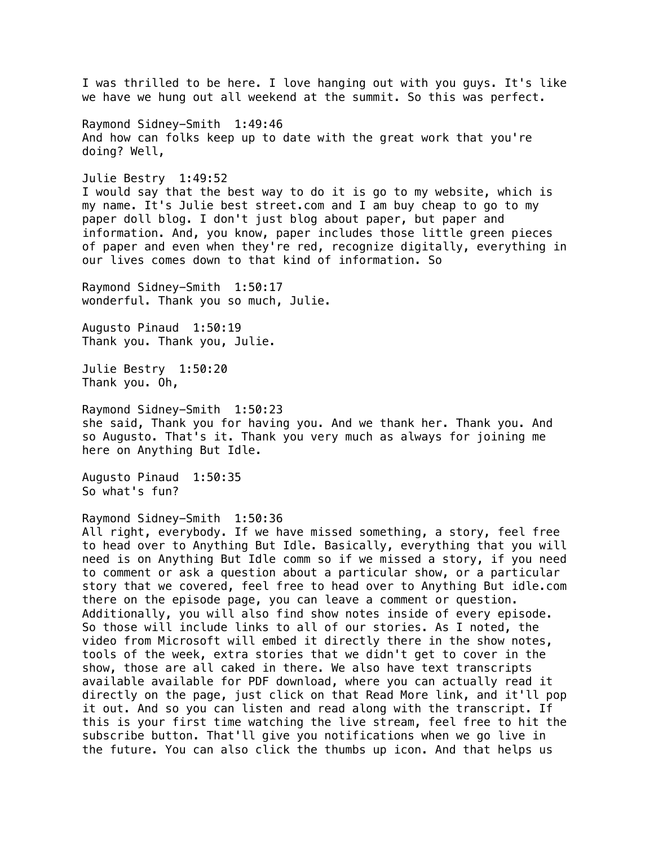I was thrilled to be here. I love hanging out with you guys. It's like we have we hung out all weekend at the summit. So this was perfect. Raymond Sidney-Smith 1:49:46 And how can folks keep up to date with the great work that you're doing? Well, Julie Bestry 1:49:52 I would say that the best way to do it is go to my website, which is my name. It's Julie best street.com and I am buy cheap to go to my paper doll blog. I don't just blog about paper, but paper and information. And, you know, paper includes those little green pieces of paper and even when they're red, recognize digitally, everything in our lives comes down to that kind of information. So Raymond Sidney-Smith 1:50:17 wonderful. Thank you so much, Julie. Augusto Pinaud 1:50:19 Thank you. Thank you, Julie. Julie Bestry 1:50:20 Thank you. Oh, Raymond Sidney-Smith 1:50:23 she said, Thank you for having you. And we thank her. Thank you. And so Augusto. That's it. Thank you very much as always for joining me here on Anything But Idle. Augusto Pinaud 1:50:35 So what's fun? Raymond Sidney-Smith 1:50:36 All right, everybody. If we have missed something, a story, feel free to head over to Anything But Idle. Basically, everything that you will need is on Anything But Idle comm so if we missed a story, if you need to comment or ask a question about a particular show, or a particular story that we covered, feel free to head over to Anything But idle.com there on the episode page, you can leave a comment or question. Additionally, you will also find show notes inside of every episode. So those will include links to all of our stories. As I noted, the video from Microsoft will embed it directly there in the show notes, tools of the week, extra stories that we didn't get to cover in the show, those are all caked in there. We also have text transcripts available available for PDF download, where you can actually read it directly on the page, just click on that Read More link, and it'll pop it out. And so you can listen and read along with the transcript. If this is your first time watching the live stream, feel free to hit the subscribe button. That'll give you notifications when we go live in the future. You can also click the thumbs up icon. And that helps us